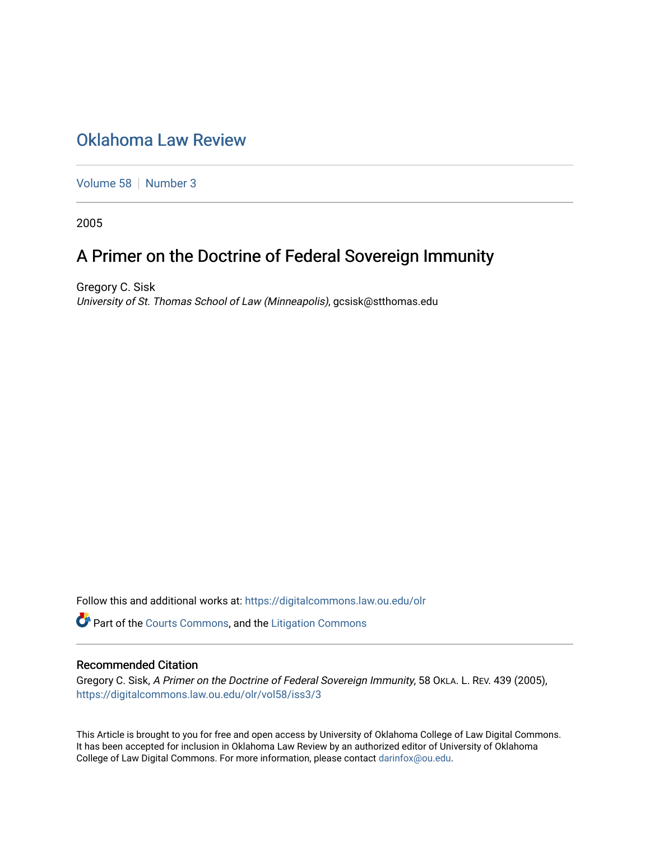## [Oklahoma Law Review](https://digitalcommons.law.ou.edu/olr)

[Volume 58](https://digitalcommons.law.ou.edu/olr/vol58) | [Number 3](https://digitalcommons.law.ou.edu/olr/vol58/iss3)

2005

# A Primer on the Doctrine of Federal Sovereign Immunity

Gregory C. Sisk University of St. Thomas School of Law (Minneapolis), gcsisk@stthomas.edu

Follow this and additional works at: [https://digitalcommons.law.ou.edu/olr](https://digitalcommons.law.ou.edu/olr?utm_source=digitalcommons.law.ou.edu%2Folr%2Fvol58%2Fiss3%2F3&utm_medium=PDF&utm_campaign=PDFCoverPages)

Part of the [Courts Commons,](http://network.bepress.com/hgg/discipline/839?utm_source=digitalcommons.law.ou.edu%2Folr%2Fvol58%2Fiss3%2F3&utm_medium=PDF&utm_campaign=PDFCoverPages) and the [Litigation Commons](http://network.bepress.com/hgg/discipline/910?utm_source=digitalcommons.law.ou.edu%2Folr%2Fvol58%2Fiss3%2F3&utm_medium=PDF&utm_campaign=PDFCoverPages) 

## Recommended Citation

Gregory C. Sisk, A Primer on the Doctrine of Federal Sovereign Immunity, 58 OKLA. L. REV. 439 (2005), [https://digitalcommons.law.ou.edu/olr/vol58/iss3/3](https://digitalcommons.law.ou.edu/olr/vol58/iss3/3?utm_source=digitalcommons.law.ou.edu%2Folr%2Fvol58%2Fiss3%2F3&utm_medium=PDF&utm_campaign=PDFCoverPages) 

This Article is brought to you for free and open access by University of Oklahoma College of Law Digital Commons. It has been accepted for inclusion in Oklahoma Law Review by an authorized editor of University of Oklahoma College of Law Digital Commons. For more information, please contact [darinfox@ou.edu.](mailto:darinfox@ou.edu)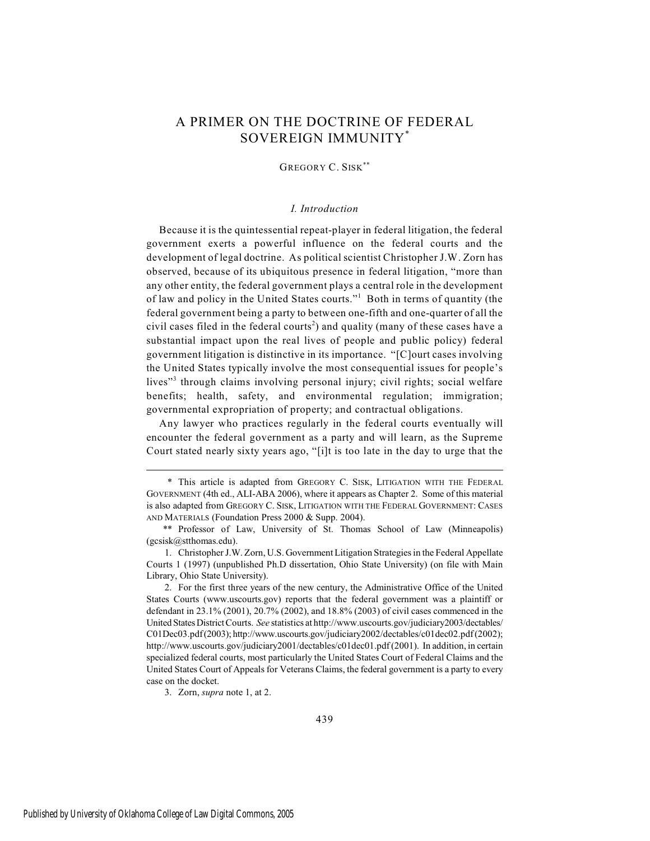## A PRIMER ON THE DOCTRINE OF FEDERAL SOVEREIGN IMMUNITY\*

GREGORY C. SISK\*\*

## *I. Introduction*

Because it is the quintessential repeat-player in federal litigation, the federal government exerts a powerful influence on the federal courts and the development of legal doctrine. As political scientist Christopher J.W. Zorn has observed, because of its ubiquitous presence in federal litigation, "more than any other entity, the federal government plays a central role in the development of law and policy in the United States courts."<sup>1</sup> Both in terms of quantity (the federal government being a party to between one-fifth and one-quarter of all the civil cases filed in the federal courts<sup>2</sup>) and quality (many of these cases have a substantial impact upon the real lives of people and public policy) federal government litigation is distinctive in its importance. "[C]ourt cases involving the United States typically involve the most consequential issues for people's lives<sup>3</sup> through claims involving personal injury; civil rights; social welfare benefits; health, safety, and environmental regulation; immigration; governmental expropriation of property; and contractual obligations.

Any lawyer who practices regularly in the federal courts eventually will encounter the federal government as a party and will learn, as the Supreme Court stated nearly sixty years ago, "[i]t is too late in the day to urge that the

3. Zorn, *supra* note 1, at 2.

<sup>\*</sup> This article is adapted from GREGORY C. SISK, LITIGATION WITH THE FEDERAL GOVERNMENT (4th ed., ALI-ABA 2006), where it appears as Chapter 2. Some of this material is also adapted from GREGORY C. SISK, LITIGATION WITH THE FEDERAL GOVERNMENT: CASES AND MATERIALS (Foundation Press 2000 & Supp. 2004).

<sup>\*\*</sup> Professor of Law, University of St. Thomas School of Law (Minneapolis) (gcsisk@stthomas.edu).

<sup>1.</sup> Christopher J.W. Zorn, U.S. Government Litigation Strategies in the Federal Appellate Courts 1 (1997) (unpublished Ph.D dissertation, Ohio State University) (on file with Main Library, Ohio State University).

<sup>2.</sup> For the first three years of the new century, the Administrative Office of the United States Courts (www.uscourts.gov) reports that the federal government was a plaintiff or defendant in 23.1% (2001), 20.7% (2002), and 18.8% (2003) of civil cases commenced in the United States District Courts. *See* statistics at http://www.uscourts.gov/judiciary2003/dectables/ C01Dec03.pdf (2003); http://www.uscourts.gov/judiciary2002/dectables/c01dec02.pdf (2002); http://www.uscourts.gov/judiciary2001/dectables/c01dec01.pdf (2001). In addition, in certain specialized federal courts, most particularly the United States Court of Federal Claims and the United States Court of Appeals for Veterans Claims, the federal government is a party to every case on the docket.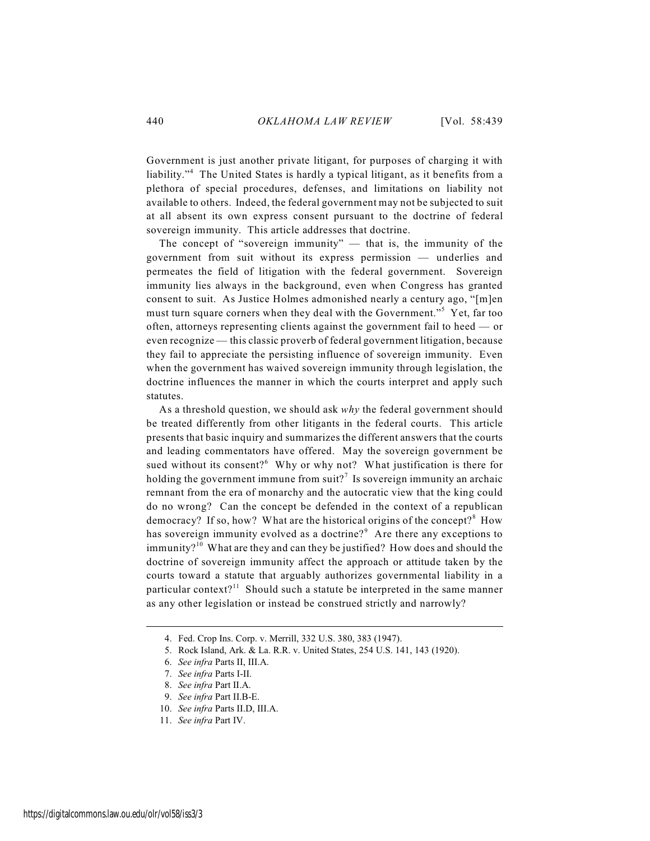Government is just another private litigant, for purposes of charging it with liability."<sup>4</sup> The United States is hardly a typical litigant, as it benefits from a plethora of special procedures, defenses, and limitations on liability not available to others. Indeed, the federal government may not be subjected to suit at all absent its own express consent pursuant to the doctrine of federal sovereign immunity. This article addresses that doctrine.

The concept of "sovereign immunity" — that is, the immunity of the government from suit without its express permission — underlies and permeates the field of litigation with the federal government. Sovereign immunity lies always in the background, even when Congress has granted consent to suit. As Justice Holmes admonished nearly a century ago, "[m]en must turn square corners when they deal with the Government."<sup>5</sup> Yet, far too often, attorneys representing clients against the government fail to heed — or even recognize — this classic proverb of federal government litigation, because they fail to appreciate the persisting influence of sovereign immunity. Even when the government has waived sovereign immunity through legislation, the doctrine influences the manner in which the courts interpret and apply such statutes.

As a threshold question, we should ask *why* the federal government should be treated differently from other litigants in the federal courts. This article presents that basic inquiry and summarizes the different answers that the courts and leading commentators have offered. May the sovereign government be sued without its consent? Why or why not? What justification is there for holding the government immune from suit?<sup>7</sup> Is sovereign immunity an archaic remnant from the era of monarchy and the autocratic view that the king could do no wrong? Can the concept be defended in the context of a republican democracy? If so, how? What are the historical origins of the concept?<sup>8</sup> How has sovereign immunity evolved as a doctrine?<sup>9</sup> Are there any exceptions to immunity? $10$  What are they and can they be justified? How does and should the doctrine of sovereign immunity affect the approach or attitude taken by the courts toward a statute that arguably authorizes governmental liability in a particular context?<sup>11</sup> Should such a statute be interpreted in the same manner as any other legislation or instead be construed strictly and narrowly?

- 8. *See infra* Part II.A.
- 9. *See infra* Part II.B-E.
- 10. *See infra* Parts II.D, III.A.
- 11. *See infra* Part IV.

<sup>4.</sup> Fed. Crop Ins. Corp. v. Merrill, 332 U.S. 380, 383 (1947).

<sup>5.</sup> Rock Island, Ark. & La. R.R. v. United States, 254 U.S. 141, 143 (1920).

<sup>6.</sup> *See infra* Parts II, III.A.

<sup>7.</sup> *See infra* Parts I-II.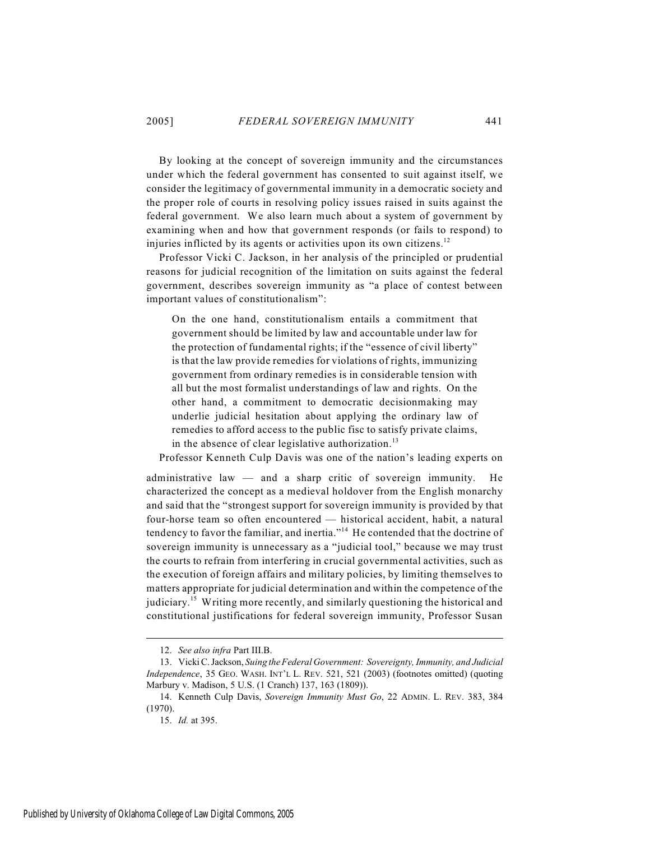By looking at the concept of sovereign immunity and the circumstances under which the federal government has consented to suit against itself, we consider the legitimacy of governmental immunity in a democratic society and the proper role of courts in resolving policy issues raised in suits against the federal government. We also learn much about a system of government by examining when and how that government responds (or fails to respond) to injuries inflicted by its agents or activities upon its own citizens.<sup>12</sup>

Professor Vicki C. Jackson, in her analysis of the principled or prudential reasons for judicial recognition of the limitation on suits against the federal government, describes sovereign immunity as "a place of contest between important values of constitutionalism":

On the one hand, constitutionalism entails a commitment that government should be limited by law and accountable under law for the protection of fundamental rights; if the "essence of civil liberty" is that the law provide remedies for violations of rights, immunizing government from ordinary remedies is in considerable tension with all but the most formalist understandings of law and rights. On the other hand, a commitment to democratic decisionmaking may underlie judicial hesitation about applying the ordinary law of remedies to afford access to the public fisc to satisfy private claims, in the absence of clear legislative authorization.<sup>13</sup>

Professor Kenneth Culp Davis was one of the nation's leading experts on

administrative law — and a sharp critic of sovereign immunity. He characterized the concept as a medieval holdover from the English monarchy and said that the "strongest support for sovereign immunity is provided by that four-horse team so often encountered — historical accident, habit, a natural tendency to favor the familiar, and inertia."<sup>14</sup> He contended that the doctrine of sovereign immunity is unnecessary as a "judicial tool," because we may trust the courts to refrain from interfering in crucial governmental activities, such as the execution of foreign affairs and military policies, by limiting themselves to matters appropriate for judicial determination and within the competence of the judiciary.<sup>15</sup> Writing more recently, and similarly questioning the historical and constitutional justifications for federal sovereign immunity, Professor Susan

<sup>12.</sup> *See also infra* Part III.B.

<sup>13.</sup> Vicki C. Jackson, *Suing the Federal Government: Sovereignty, Immunity, and Judicial Independence*, 35 GEO. WASH. INT'L L. REV. 521, 521 (2003) (footnotes omitted) (quoting Marbury v. Madison, 5 U.S. (1 Cranch) 137, 163 (1809)).

<sup>14.</sup> Kenneth Culp Davis, *Sovereign Immunity Must Go*, 22 ADMIN. L. REV. 383, 384 (1970).

<sup>15.</sup> *Id.* at 395.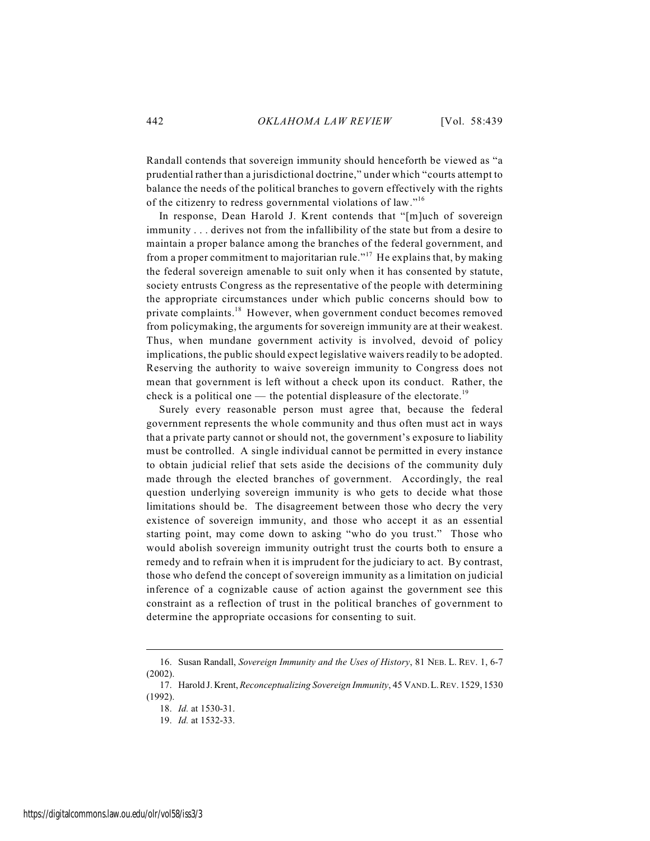Randall contends that sovereign immunity should henceforth be viewed as "a prudential rather than a jurisdictional doctrine," under which "courts attempt to balance the needs of the political branches to govern effectively with the rights of the citizenry to redress governmental violations of law."<sup>16</sup>

In response, Dean Harold J. Krent contends that "[m]uch of sovereign immunity . . . derives not from the infallibility of the state but from a desire to maintain a proper balance among the branches of the federal government, and from a proper commitment to majoritarian rule."<sup>17</sup> He explains that, by making the federal sovereign amenable to suit only when it has consented by statute, society entrusts Congress as the representative of the people with determining the appropriate circumstances under which public concerns should bow to private complaints.<sup>18</sup> However, when government conduct becomes removed from policymaking, the arguments for sovereign immunity are at their weakest. Thus, when mundane government activity is involved, devoid of policy implications, the public should expect legislative waivers readily to be adopted. Reserving the authority to waive sovereign immunity to Congress does not mean that government is left without a check upon its conduct. Rather, the check is a political one — the potential displeasure of the electorate.<sup>19</sup>

Surely every reasonable person must agree that, because the federal government represents the whole community and thus often must act in ways that a private party cannot or should not, the government's exposure to liability must be controlled. A single individual cannot be permitted in every instance to obtain judicial relief that sets aside the decisions of the community duly made through the elected branches of government. Accordingly, the real question underlying sovereign immunity is who gets to decide what those limitations should be. The disagreement between those who decry the very existence of sovereign immunity, and those who accept it as an essential starting point, may come down to asking "who do you trust." Those who would abolish sovereign immunity outright trust the courts both to ensure a remedy and to refrain when it is imprudent for the judiciary to act. By contrast, those who defend the concept of sovereign immunity as a limitation on judicial inference of a cognizable cause of action against the government see this constraint as a reflection of trust in the political branches of government to determine the appropriate occasions for consenting to suit.

<sup>16.</sup> Susan Randall, *Sovereign Immunity and the Uses of History*, 81 NEB. L. REV. 1, 6-7 (2002).

<sup>17.</sup> Harold J. Krent, *Reconceptualizing Sovereign Immunity*, 45 VAND.L.REV. 1529, 1530 (1992).

<sup>18.</sup> *Id.* at 1530-31.

<sup>19.</sup> *Id.* at 1532-33.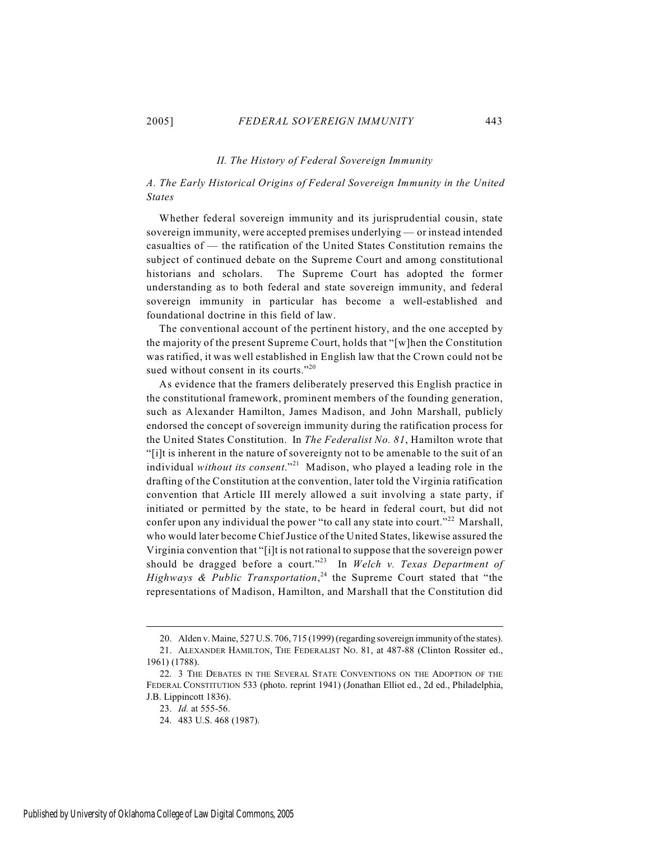#### *II. The History of Federal Sovereign Immunity*

*A. The Early Historical Origins of Federal Sovereign Immunity in the United States*

Whether federal sovereign immunity and its jurisprudential cousin, state sovereign immunity, were accepted premises underlying — or instead intended casualties of — the ratification of the United States Constitution remains the subject of continued debate on the Supreme Court and among constitutional historians and scholars. The Supreme Court has adopted the former understanding as to both federal and state sovereign immunity, and federal sovereign immunity in particular has become a well-established and foundational doctrine in this field of law.

The conventional account of the pertinent history, and the one accepted by the majority of the present Supreme Court, holds that "[w]hen the Constitution was ratified, it was well established in English law that the Crown could not be sued without consent in its courts."<sup>20</sup>

As evidence that the framers deliberately preserved this English practice in the constitutional framework, prominent members of the founding generation, such as Alexander Hamilton, James Madison, and John Marshall, publicly endorsed the concept of sovereign immunity during the ratification process for the United States Constitution. In *The Federalist No. 81*, Hamilton wrote that "[i]t is inherent in the nature of sovereignty not to be amenable to the suit of an individual *without its consent*."<sup>21</sup> Madison, who played a leading role in the drafting of the Constitution at the convention, later told the Virginia ratification convention that Article III merely allowed a suit involving a state party, if initiated or permitted by the state, to be heard in federal court, but did not confer upon any individual the power "to call any state into court."<sup>22</sup> Marshall, who would later become Chief Justice of the United States, likewise assured the Virginia convention that "[i]t is not rational to suppose that the sovereign power should be dragged before a court."<sup>23</sup> In *Welch v. Texas Department of Highways & Public Transportation*,<sup>24</sup> the Supreme Court stated that "the representations of Madison, Hamilton, and Marshall that the Constitution did

<sup>20.</sup> Alden v. Maine, 527 U.S. 706, 715 (1999) (regarding sovereign immunity of the states).

<sup>21.</sup> ALEXANDER HAMILTON, THE FEDERALIST NO. 81, at 487-88 (Clinton Rossiter ed., 1961) (1788).

<sup>22. 3</sup> THE DEBATES IN THE SEVERAL STATE CONVENTIONS ON THE ADOPTION OF THE FEDERAL CONSTITUTION 533 (photo. reprint 1941) (Jonathan Elliot ed., 2d ed., Philadelphia, J.B. Lippincott 1836).

<sup>23.</sup> *Id.* at 555-56.

<sup>24. 483</sup> U.S. 468 (1987).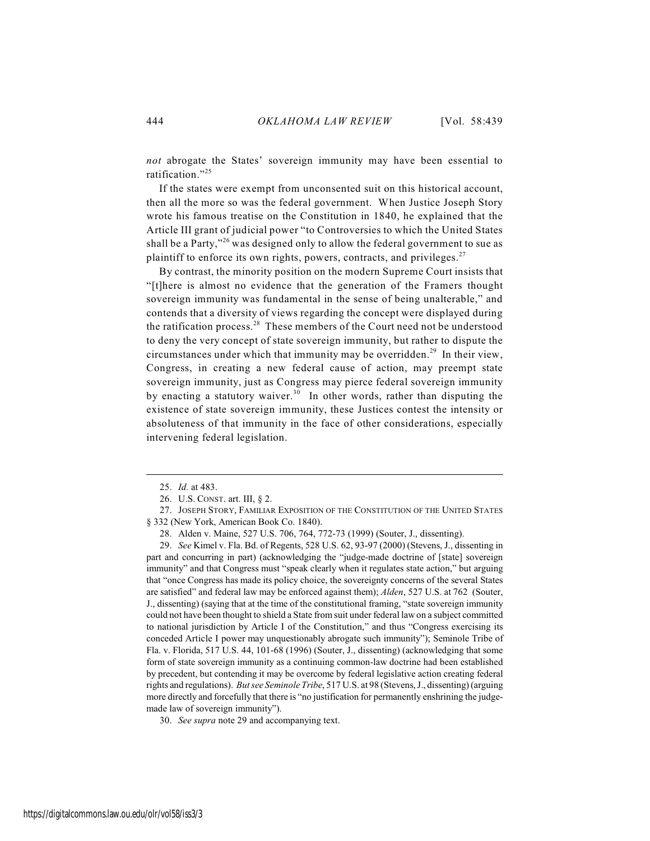*not* abrogate the States' sovereign immunity may have been essential to ratification."<sup>25</sup>

If the states were exempt from unconsented suit on this historical account, then all the more so was the federal government. When Justice Joseph Story wrote his famous treatise on the Constitution in 1840, he explained that the Article III grant of judicial power "to Controversies to which the United States shall be a Party,"  $^{26}$  was designed only to allow the federal government to sue as plaintiff to enforce its own rights, powers, contracts, and privileges. $27$ 

By contrast, the minority position on the modern Supreme Court insists that "[t]here is almost no evidence that the generation of the Framers thought sovereign immunity was fundamental in the sense of being unalterable," and contends that a diversity of views regarding the concept were displayed during the ratification process.<sup>28</sup> These members of the Court need not be understood to deny the very concept of state sovereign immunity, but rather to dispute the circumstances under which that immunity may be overridden.<sup>29</sup> In their view, Congress, in creating a new federal cause of action, may preempt state sovereign immunity, just as Congress may pierce federal sovereign immunity by enacting a statutory waiver.<sup>30</sup> In other words, rather than disputing the existence of state sovereign immunity, these Justices contest the intensity or absoluteness of that immunity in the face of other considerations, especially intervening federal legislation.

29. *See* Kimel v. Fla. Bd. of Regents, 528 U.S. 62, 93-97 (2000) (Stevens, J., dissenting in part and concurring in part) (acknowledging the "judge-made doctrine of [state] sovereign immunity" and that Congress must "speak clearly when it regulates state action," but arguing that "once Congress has made its policy choice, the sovereignty concerns of the several States are satisfied" and federal law may be enforced against them); *Alden*, 527 U.S. at 762 (Souter, J., dissenting) (saying that at the time of the constitutional framing, "state sovereign immunity could not have been thought to shield a State from suit under federal law on a subject committed to national jurisdiction by Article I of the Constitution," and thus "Congress exercising its conceded Article I power may unquestionably abrogate such immunity"); Seminole Tribe of Fla. v. Florida, 517 U.S. 44, 101-68 (1996) (Souter, J., dissenting) (acknowledging that some form of state sovereign immunity as a continuing common-law doctrine had been established by precedent, but contending it may be overcome by federal legislative action creating federal rights and regulations). *But see Seminole Tribe*, 517 U.S. at 98 (Stevens, J., dissenting) (arguing more directly and forcefully that there is "no justification for permanently enshrining the judgemade law of sovereign immunity").

30. *See supra* note 29 and accompanying text.

<sup>25.</sup> *Id.* at 483.

<sup>26.</sup> U.S. CONST. art. III, § 2.

<sup>27.</sup> JOSEPH STORY, FAMILIAR EXPOSITION OF THE CONSTITUTION OF THE UNITED STATES § 332 (New York, American Book Co. 1840).

<sup>28.</sup> Alden v. Maine, 527 U.S. 706, 764, 772-73 (1999) (Souter, J., dissenting).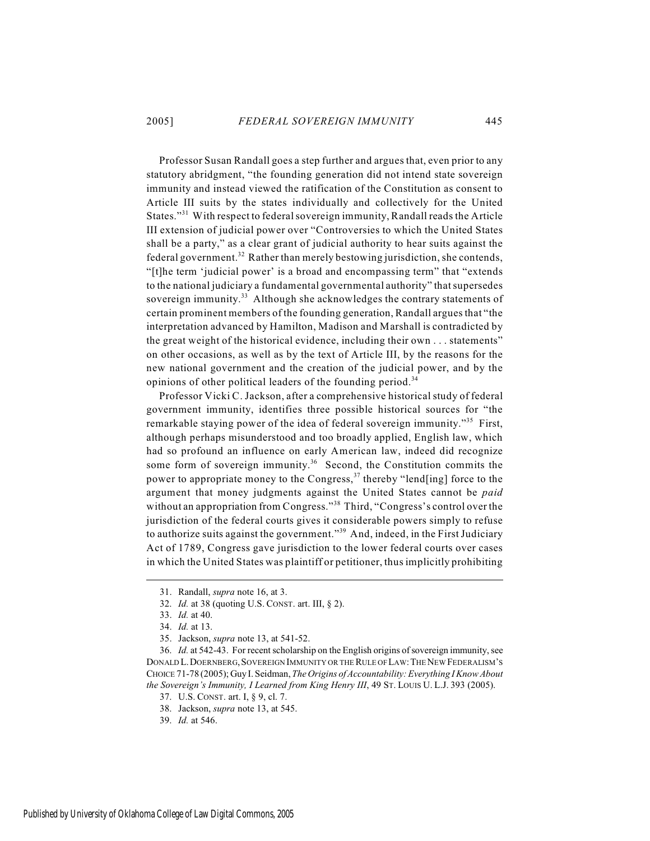Professor Susan Randall goes a step further and argues that, even prior to any statutory abridgment, "the founding generation did not intend state sovereign immunity and instead viewed the ratification of the Constitution as consent to Article III suits by the states individually and collectively for the United States."<sup>31</sup> With respect to federal sovereign immunity, Randall reads the Article III extension of judicial power over "Controversies to which the United States shall be a party," as a clear grant of judicial authority to hear suits against the federal government.<sup>32</sup> Rather than merely bestowing jurisdiction, she contends, "[t]he term 'judicial power' is a broad and encompassing term" that "extends to the national judiciary a fundamental governmental authority" that supersedes sovereign immunity.<sup>33</sup> Although she acknowledges the contrary statements of certain prominent members of the founding generation, Randall argues that "the interpretation advanced by Hamilton, Madison and Marshall is contradicted by the great weight of the historical evidence, including their own . . . statements" on other occasions, as well as by the text of Article III, by the reasons for the new national government and the creation of the judicial power, and by the opinions of other political leaders of the founding period.<sup>34</sup>

Professor Vicki C. Jackson, after a comprehensive historical study of federal government immunity, identifies three possible historical sources for "the remarkable staying power of the idea of federal sovereign immunity."<sup>35</sup> First, although perhaps misunderstood and too broadly applied, English law, which had so profound an influence on early American law, indeed did recognize some form of sovereign immunity.<sup>36</sup> Second, the Constitution commits the power to appropriate money to the Congress,  $37$  thereby "lend[ing] force to the argument that money judgments against the United States cannot be *paid* without an appropriation from Congress."<sup>38</sup> Third, "Congress' s control over the jurisdiction of the federal courts gives it considerable powers simply to refuse to authorize suits against the government."<sup>39</sup> And, indeed, in the First Judiciary Act of 1789, Congress gave jurisdiction to the lower federal courts over cases in which the United States was plaintiff or petitioner, thus implicitly prohibiting

36. *Id.* at 542-43. For recent scholarship on the English origins of sovereign immunity, see DONALD L.DOERNBERG,SOVEREIGN IMMUNITY OR THE RULE OF LAW:THE NEW FEDERALISM'S CHOICE 71-78 (2005); Guy I. Seidman, *The Origins of Accountability: Everything I Know About the Sovereign's Immunity, I Learned from King Henry III*, 49 ST. LOUIS U. L.J. 393 (2005).

<sup>31.</sup> Randall, *supra* note 16, at 3.

<sup>32.</sup> *Id.* at 38 (quoting U.S. CONST. art. III, § 2).

<sup>33.</sup> *Id.* at 40.

<sup>34.</sup> *Id.* at 13.

<sup>35.</sup> Jackson, *supra* note 13, at 541-52.

<sup>37.</sup> U.S. CONST. art. I, § 9, cl. 7.

<sup>38.</sup> Jackson, *supra* note 13, at 545.

<sup>39.</sup> *Id.* at 546.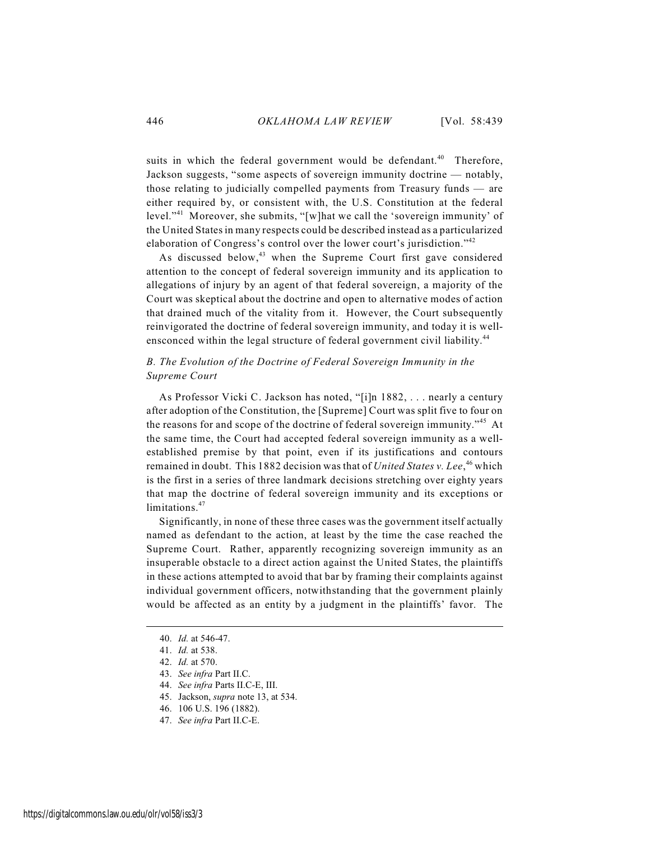suits in which the federal government would be defendant.<sup>40</sup> Therefore, Jackson suggests, "some aspects of sovereign immunity doctrine — notably, those relating to judicially compelled payments from Treasury funds — are either required by, or consistent with, the U.S. Constitution at the federal level."<sup>41</sup> Moreover, she submits, "[w]hat we call the 'sovereign immunity' of the United States in many respects could be described instead as a particularized elaboration of Congress's control over the lower court's jurisdiction."<sup>42</sup>

As discussed below, $43$  when the Supreme Court first gave considered attention to the concept of federal sovereign immunity and its application to allegations of injury by an agent of that federal sovereign, a majority of the Court was skeptical about the doctrine and open to alternative modes of action that drained much of the vitality from it. However, the Court subsequently reinvigorated the doctrine of federal sovereign immunity, and today it is wellensconced within the legal structure of federal government civil liability.<sup>44</sup>

## *B. The Evolution of the Doctrine of Federal Sovereign Immunity in the Supreme Court*

As Professor Vicki C. Jackson has noted, "[i]n 1882, . . . nearly a century after adoption of the Constitution, the [Supreme] Court was split five to four on the reasons for and scope of the doctrine of federal sovereign immunity."<sup>45</sup> At the same time, the Court had accepted federal sovereign immunity as a wellestablished premise by that point, even if its justifications and contours remained in doubt. This 1882 decision was that of *United States v. Lee*,<sup>46</sup> which is the first in a series of three landmark decisions stretching over eighty years that map the doctrine of federal sovereign immunity and its exceptions or limitations.<sup>47</sup>

Significantly, in none of these three cases was the government itself actually named as defendant to the action, at least by the time the case reached the Supreme Court. Rather, apparently recognizing sovereign immunity as an insuperable obstacle to a direct action against the United States, the plaintiffs in these actions attempted to avoid that bar by framing their complaints against individual government officers, notwithstanding that the government plainly would be affected as an entity by a judgment in the plaintiffs' favor. The

- 43. *See infra* Part II.C.
- 44. *See infra* Parts II.C-E, III.
- 45. Jackson, *supra* note 13, at 534.
- 46. 106 U.S. 196 (1882).
- 47. *See infra* Part II.C-E.

<sup>40.</sup> *Id.* at 546-47.

<sup>41.</sup> *Id.* at 538.

<sup>42.</sup> *Id.* at 570.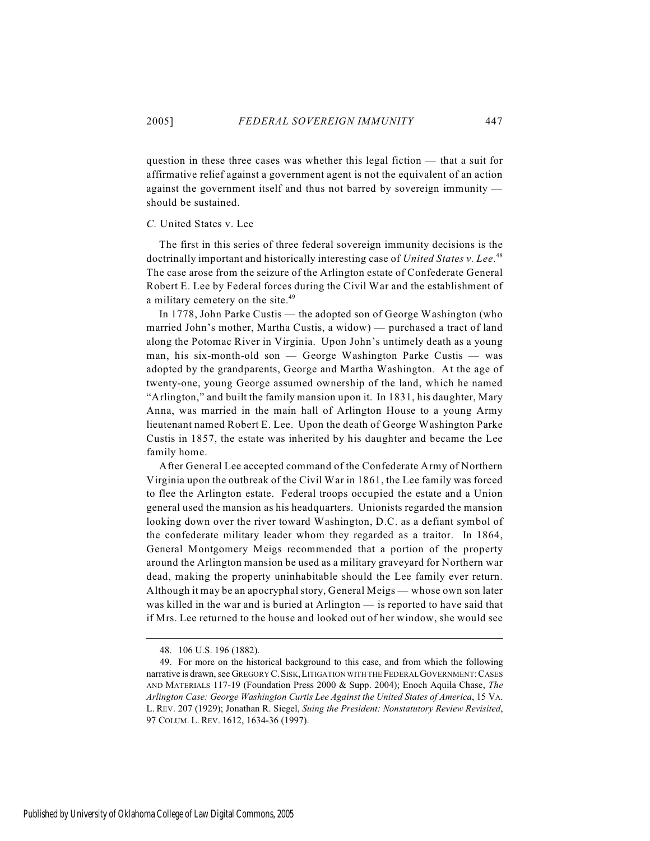question in these three cases was whether this legal fiction — that a suit for affirmative relief against a government agent is not the equivalent of an action against the government itself and thus not barred by sovereign immunity should be sustained.

#### *C.* United States v. Lee

The first in this series of three federal sovereign immunity decisions is the doctrinally important and historically interesting case of *United States v. Lee*. 48 The case arose from the seizure of the Arlington estate of Confederate General Robert E. Lee by Federal forces during the Civil War and the establishment of a military cemetery on the site.<sup>49</sup>

In 1778, John Parke Custis — the adopted son of George Washington (who married John's mother, Martha Custis, a widow) — purchased a tract of land along the Potomac River in Virginia. Upon John's untimely death as a young man, his six-month-old son — George Washington Parke Custis — was adopted by the grandparents, George and Martha Washington. At the age of twenty-one, young George assumed ownership of the land, which he named "Arlington," and built the family mansion upon it. In 1831, his daughter, Mary Anna, was married in the main hall of Arlington House to a young Army lieutenant named Robert E. Lee. Upon the death of George Washington Parke Custis in 1857, the estate was inherited by his daughter and became the Lee family home.

After General Lee accepted command of the Confederate Army of Northern Virginia upon the outbreak of the Civil War in 1861, the Lee family was forced to flee the Arlington estate. Federal troops occupied the estate and a Union general used the mansion as his headquarters. Unionists regarded the mansion looking down over the river toward Washington, D.C. as a defiant symbol of the confederate military leader whom they regarded as a traitor. In 1864, General Montgomery Meigs recommended that a portion of the property around the Arlington mansion be used as a military graveyard for Northern war dead, making the property uninhabitable should the Lee family ever return. Although it may be an apocryphal story, General Meigs — whose own son later was killed in the war and is buried at Arlington — is reported to have said that if Mrs. Lee returned to the house and looked out of her window, she would see

<sup>48. 106</sup> U.S. 196 (1882).

<sup>49.</sup> For more on the historical background to this case, and from which the following narrative is drawn, see GREGORY C.SISK,LITIGATION WITH THE FEDERAL GOVERNMENT:CASES AND MATERIALS 117-19 (Foundation Press 2000 & Supp. 2004); Enoch Aquila Chase, *The Arlington Case: George Washington Curtis Lee Against the United States of America*, 15 VA. L. REV. 207 (1929); Jonathan R. Siegel, *Suing the President: Nonstatutory Review Revisited*, 97 COLUM. L. REV. 1612, 1634-36 (1997).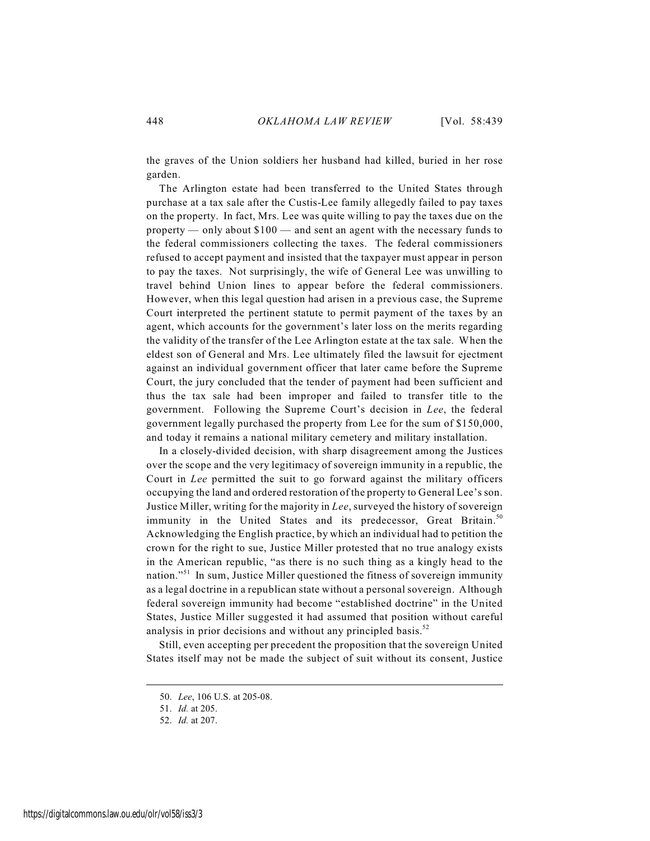the graves of the Union soldiers her husband had killed, buried in her rose garden.

The Arlington estate had been transferred to the United States through purchase at a tax sale after the Custis-Lee family allegedly failed to pay taxes on the property. In fact, Mrs. Lee was quite willing to pay the taxes due on the property — only about \$100 — and sent an agent with the necessary funds to the federal commissioners collecting the taxes. The federal commissioners refused to accept payment and insisted that the taxpayer must appear in person to pay the taxes. Not surprisingly, the wife of General Lee was unwilling to travel behind Union lines to appear before the federal commissioners. However, when this legal question had arisen in a previous case, the Supreme Court interpreted the pertinent statute to permit payment of the taxes by an agent, which accounts for the government's later loss on the merits regarding the validity of the transfer of the Lee Arlington estate at the tax sale. When the eldest son of General and Mrs. Lee ultimately filed the lawsuit for ejectment against an individual government officer that later came before the Supreme Court, the jury concluded that the tender of payment had been sufficient and thus the tax sale had been improper and failed to transfer title to the government. Following the Supreme Court's decision in *Lee*, the federal government legally purchased the property from Lee for the sum of \$150,000, and today it remains a national military cemetery and military installation.

In a closely-divided decision, with sharp disagreement among the Justices over the scope and the very legitimacy of sovereign immunity in a republic, the Court in *Lee* permitted the suit to go forward against the military officers occupying the land and ordered restoration of the property to General Lee's son. Justice Miller, writing for the majority in *Lee*, surveyed the history of sovereign immunity in the United States and its predecessor, Great Britain.<sup>50</sup> Acknowledging the English practice, by which an individual had to petition the crown for the right to sue, Justice Miller protested that no true analogy exists in the American republic, "as there is no such thing as a kingly head to the nation."<sup> $51$ </sup> In sum, Justice Miller questioned the fitness of sovereign immunity as a legal doctrine in a republican state without a personal sovereign. Although federal sovereign immunity had become "established doctrine" in the United States, Justice Miller suggested it had assumed that position without careful analysis in prior decisions and without any principled basis.<sup>52</sup>

Still, even accepting per precedent the proposition that the sovereign United States itself may not be made the subject of suit without its consent, Justice

<sup>50.</sup> *Lee*, 106 U.S. at 205-08.

<sup>51.</sup> *Id.* at 205.

<sup>52.</sup> *Id.* at 207.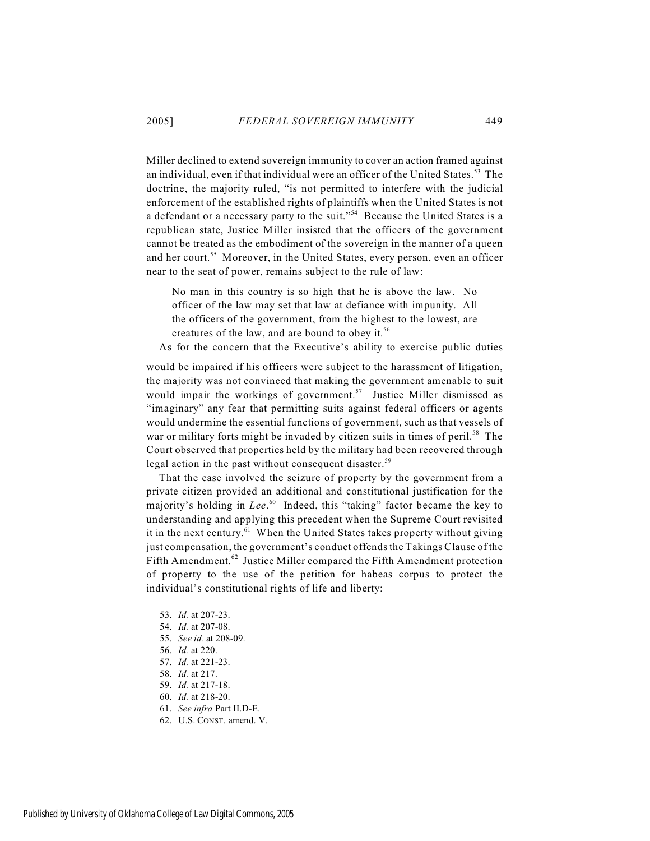Miller declined to extend sovereign immunity to cover an action framed against an individual, even if that individual were an officer of the United States.<sup>53</sup> The doctrine, the majority ruled, "is not permitted to interfere with the judicial enforcement of the established rights of plaintiffs when the United States is not a defendant or a necessary party to the suit."<sup>54</sup> Because the United States is a republican state, Justice Miller insisted that the officers of the government cannot be treated as the embodiment of the sovereign in the manner of a queen and her court.<sup>55</sup> Moreover, in the United States, every person, even an officer near to the seat of power, remains subject to the rule of law:

No man in this country is so high that he is above the law. No officer of the law may set that law at defiance with impunity. All the officers of the government, from the highest to the lowest, are creatures of the law, and are bound to obey it.<sup>56</sup>

As for the concern that the Executive's ability to exercise public duties

would be impaired if his officers were subject to the harassment of litigation, the majority was not convinced that making the government amenable to suit would impair the workings of government.<sup>57</sup> Justice Miller dismissed as "imaginary" any fear that permitting suits against federal officers or agents would undermine the essential functions of government, such as that vessels of war or military forts might be invaded by citizen suits in times of peril.<sup>58</sup> The Court observed that properties held by the military had been recovered through legal action in the past without consequent disaster.<sup>59</sup>

That the case involved the seizure of property by the government from a private citizen provided an additional and constitutional justification for the majority's holding in *Lee*.<sup>60</sup> Indeed, this "taking" factor became the key to understanding and applying this precedent when the Supreme Court revisited it in the next century.<sup> $61$ </sup> When the United States takes property without giving just compensation, the government's conduct offends the Takings Clause of the Fifth Amendment.<sup>62</sup> Justice Miller compared the Fifth Amendment protection of property to the use of the petition for habeas corpus to protect the individual's constitutional rights of life and liberty:

56. *Id.* at 220.

- 58. *Id.* at 217.
- 59. *Id.* at 217-18.
- 60. *Id.* at 218-20.
- 61. *See infra* Part II.D-E.
- 62. U.S. CONST. amend. V.

<sup>53.</sup> *Id.* at 207-23.

<sup>54.</sup> *Id.* at 207-08.

<sup>55.</sup> *See id.* at 208-09.

<sup>57.</sup> *Id.* at 221-23.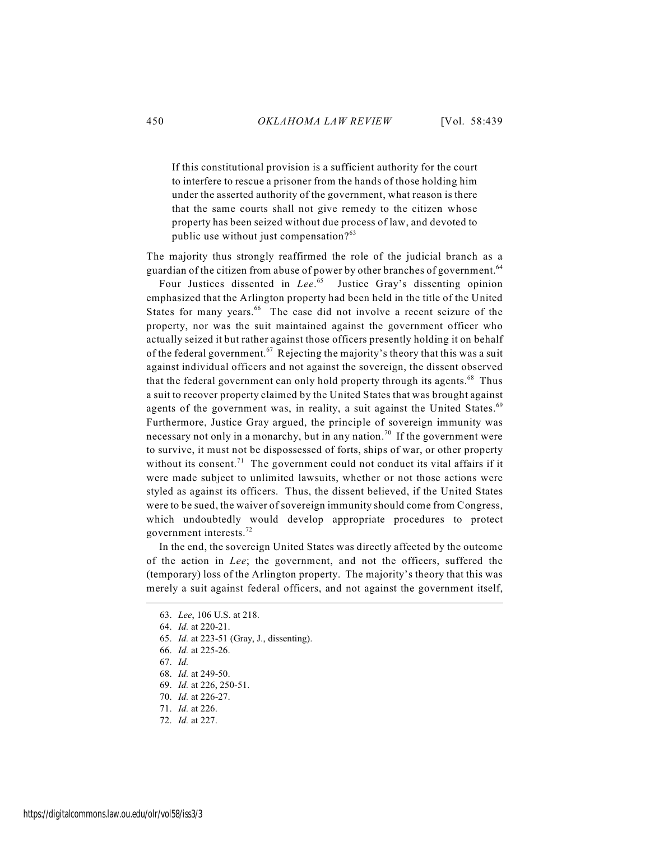If this constitutional provision is a sufficient authority for the court to interfere to rescue a prisoner from the hands of those holding him under the asserted authority of the government, what reason is there that the same courts shall not give remedy to the citizen whose property has been seized without due process of law, and devoted to public use without just compensation?<sup>63</sup>

The majority thus strongly reaffirmed the role of the judicial branch as a guardian of the citizen from abuse of power by other branches of government.<sup>64</sup>

Four Justices dissented in *Lee*.<sup>65</sup> Justice Gray's dissenting opinion emphasized that the Arlington property had been held in the title of the United States for many years.  $66$  The case did not involve a recent seizure of the property, nor was the suit maintained against the government officer who actually seized it but rather against those officers presently holding it on behalf of the federal government.<sup>67</sup> Rejecting the majority's theory that this was a suit against individual officers and not against the sovereign, the dissent observed that the federal government can only hold property through its agents. <sup>68</sup> Thus a suit to recover property claimed by the United States that was brought against agents of the government was, in reality, a suit against the United States. $69$ Furthermore, Justice Gray argued, the principle of sovereign immunity was necessary not only in a monarchy, but in any nation.<sup>70</sup> If the government were to survive, it must not be dispossessed of forts, ships of war, or other property without its consent.<sup> $71$ </sup> The government could not conduct its vital affairs if it were made subject to unlimited lawsuits, whether or not those actions were styled as against its officers. Thus, the dissent believed, if the United States were to be sued, the waiver of sovereign immunity should come from Congress, which undoubtedly would develop appropriate procedures to protect government interests.<sup>72</sup>

In the end, the sovereign United States was directly affected by the outcome of the action in *Lee*; the government, and not the officers, suffered the (temporary) loss of the Arlington property. The majority's theory that this was merely a suit against federal officers, and not against the government itself,

<sup>63.</sup> *Lee*, 106 U.S. at 218.

<sup>64.</sup> *Id.* at 220-21.

<sup>65.</sup> *Id.* at 223-51 (Gray, J., dissenting).

<sup>66.</sup> *Id.* at 225-26.

<sup>67.</sup> *Id.*

<sup>68.</sup> *Id.* at 249-50.

<sup>69.</sup> *Id.* at 226, 250-51.

<sup>70.</sup> *Id.* at 226-27.

<sup>71.</sup> *Id.* at 226.

<sup>72.</sup> *Id.* at 227.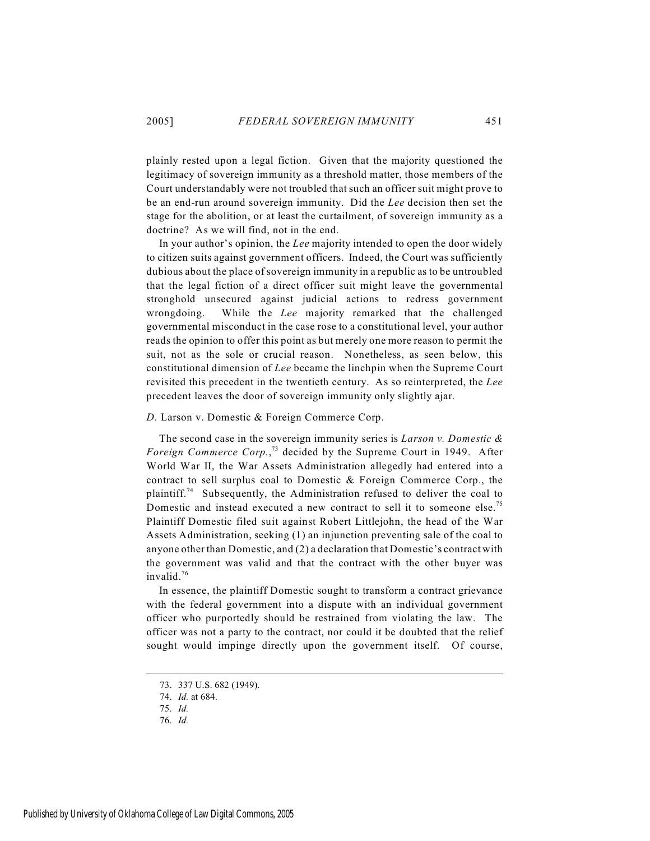plainly rested upon a legal fiction. Given that the majority questioned the legitimacy of sovereign immunity as a threshold matter, those members of the Court understandably were not troubled that such an officer suit might prove to be an end-run around sovereign immunity. Did the *Lee* decision then set the stage for the abolition, or at least the curtailment, of sovereign immunity as a doctrine? As we will find, not in the end.

In your author's opinion, the *Lee* majority intended to open the door widely to citizen suits against government officers. Indeed, the Court was sufficiently dubious about the place of sovereign immunity in a republic as to be untroubled that the legal fiction of a direct officer suit might leave the governmental stronghold unsecured against judicial actions to redress government wrongdoing. While the *Lee* majority remarked that the challenged governmental misconduct in the case rose to a constitutional level, your author reads the opinion to offer this point as but merely one more reason to permit the suit, not as the sole or crucial reason. Nonetheless, as seen below, this constitutional dimension of *Lee* became the linchpin when the Supreme Court revisited this precedent in the twentieth century. As so reinterpreted, the *Lee* precedent leaves the door of sovereign immunity only slightly ajar.

*D.* Larson v. Domestic & Foreign Commerce Corp.

The second case in the sovereign immunity series is *Larson v. Domestic & Foreign Commerce Corp.*,<sup>73</sup> decided by the Supreme Court in 1949. After World War II, the War Assets Administration allegedly had entered into a contract to sell surplus coal to Domestic & Foreign Commerce Corp., the plaintiff.<sup>74</sup> Subsequently, the Administration refused to deliver the coal to Domestic and instead executed a new contract to sell it to someone else.<sup>75</sup> Plaintiff Domestic filed suit against Robert Littlejohn, the head of the War Assets Administration, seeking (1) an injunction preventing sale of the coal to anyone other than Domestic, and (2) a declaration that Domestic's contract with the government was valid and that the contract with the other buyer was invalid.<sup>76</sup>

In essence, the plaintiff Domestic sought to transform a contract grievance with the federal government into a dispute with an individual government officer who purportedly should be restrained from violating the law. The officer was not a party to the contract, nor could it be doubted that the relief sought would impinge directly upon the government itself. Of course,

76. *Id.*

<sup>73. 337</sup> U.S. 682 (1949).

<sup>74.</sup> *Id.* at 684.

<sup>75.</sup> *Id.*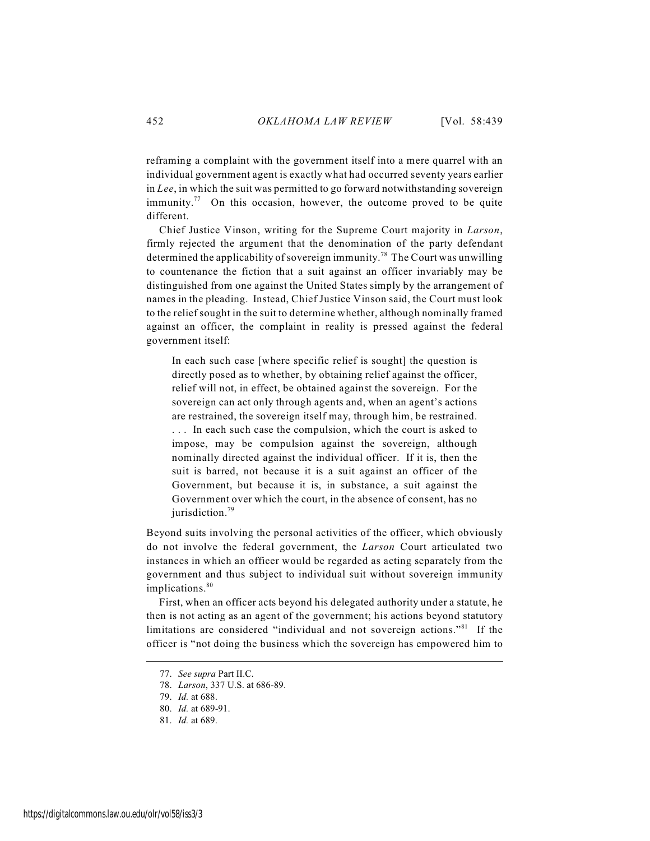reframing a complaint with the government itself into a mere quarrel with an individual government agent is exactly what had occurred seventy years earlier in *Lee*, in which the suit was permitted to go forward notwithstanding sovereign immunity.<sup> $77$ </sup> On this occasion, however, the outcome proved to be quite different.

Chief Justice Vinson, writing for the Supreme Court majority in *Larson*, firmly rejected the argument that the denomination of the party defendant determined the applicability of sovereign immunity.<sup>78</sup> The Court was unwilling to countenance the fiction that a suit against an officer invariably may be distinguished from one against the United States simply by the arrangement of names in the pleading. Instead, Chief Justice Vinson said, the Court must look to the relief sought in the suit to determine whether, although nominally framed against an officer, the complaint in reality is pressed against the federal government itself:

In each such case [where specific relief is sought] the question is directly posed as to whether, by obtaining relief against the officer, relief will not, in effect, be obtained against the sovereign. For the sovereign can act only through agents and, when an agent's actions are restrained, the sovereign itself may, through him, be restrained. . . . In each such case the compulsion, which the court is asked to impose, may be compulsion against the sovereign, although nominally directed against the individual officer. If it is, then the suit is barred, not because it is a suit against an officer of the Government, but because it is, in substance, a suit against the Government over which the court, in the absence of consent, has no jurisdiction.<sup>79</sup>

Beyond suits involving the personal activities of the officer, which obviously do not involve the federal government, the *Larson* Court articulated two instances in which an officer would be regarded as acting separately from the government and thus subject to individual suit without sovereign immunity implications.<sup>80</sup>

First, when an officer acts beyond his delegated authority under a statute, he then is not acting as an agent of the government; his actions beyond statutory limitations are considered "individual and not sovereign actions."<sup>81</sup> If the officer is "not doing the business which the sovereign has empowered him to

<sup>77.</sup> *See supra* Part II.C.

<sup>78.</sup> *Larson*, 337 U.S. at 686-89.

<sup>79.</sup> *Id.* at 688.

<sup>80.</sup> *Id.* at 689-91.

<sup>81.</sup> *Id.* at 689.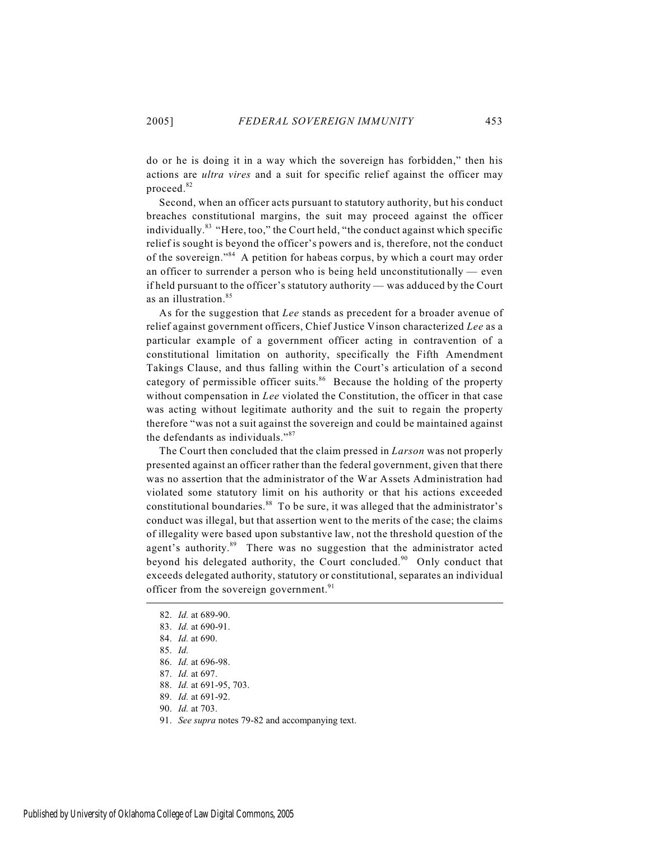do or he is doing it in a way which the sovereign has forbidden," then his actions are *ultra vires* and a suit for specific relief against the officer may proceed.<sup>82</sup>

Second, when an officer acts pursuant to statutory authority, but his conduct breaches constitutional margins, the suit may proceed against the officer individually.<sup>83</sup> "Here, too," the Court held, "the conduct against which specific relief is sought is beyond the officer's powers and is, therefore, not the conduct of the sovereign."<sup>84</sup> A petition for habeas corpus, by which a court may order an officer to surrender a person who is being held unconstitutionally — even if held pursuant to the officer's statutory authority — was adduced by the Court as an illustration.<sup>85</sup>

As for the suggestion that *Lee* stands as precedent for a broader avenue of relief against government officers, Chief Justice Vinson characterized *Lee* as a particular example of a government officer acting in contravention of a constitutional limitation on authority, specifically the Fifth Amendment Takings Clause, and thus falling within the Court's articulation of a second category of permissible officer suits.<sup>86</sup> Because the holding of the property without compensation in *Lee* violated the Constitution, the officer in that case was acting without legitimate authority and the suit to regain the property therefore "was not a suit against the sovereign and could be maintained against the defendants as individuals."<sup>87</sup>

The Court then concluded that the claim pressed in *Larson* was not properly presented against an officer rather than the federal government, given that there was no assertion that the administrator of the War Assets Administration had violated some statutory limit on his authority or that his actions exceeded constitutional boundaries. $88\text{ T}$  To be sure, it was alleged that the administrator's conduct was illegal, but that assertion went to the merits of the case; the claims of illegality were based upon substantive law, not the threshold question of the agent's authority. $89$  There was no suggestion that the administrator acted beyond his delegated authority, the Court concluded.<sup>90</sup> Only conduct that exceeds delegated authority, statutory or constitutional, separates an individual officer from the sovereign government. $91$ 

91. *See supra* notes 79-82 and accompanying text.

<sup>82.</sup> *Id.* at 689-90.

<sup>83.</sup> *Id.* at 690-91.

<sup>84.</sup> *Id.* at 690.

<sup>85.</sup> *Id.*

<sup>86.</sup> *Id.* at 696-98.

<sup>87.</sup> *Id.* at 697.

<sup>88.</sup> *Id.* at 691-95, 703.

<sup>89.</sup> *Id.* at 691-92.

<sup>90.</sup> *Id.* at 703.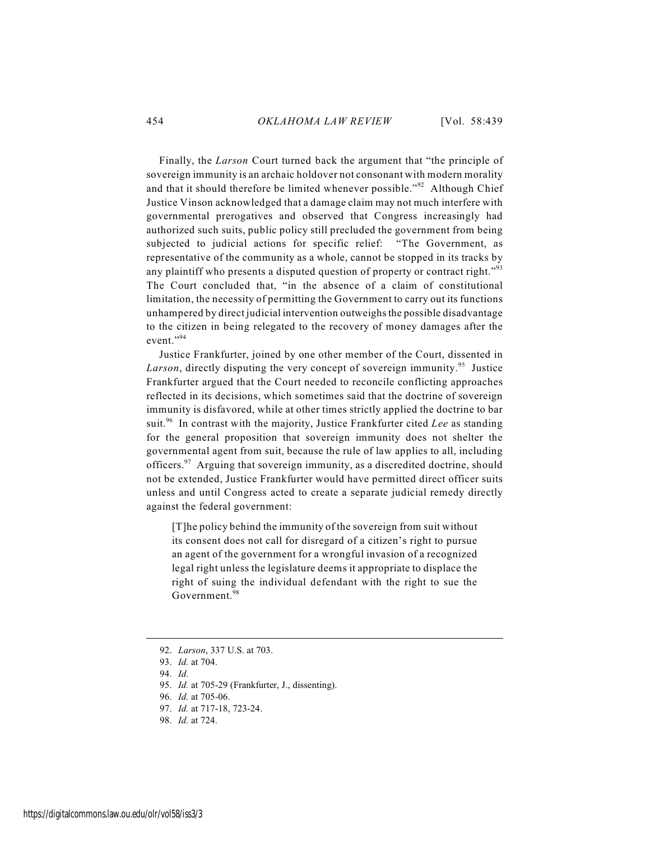Finally, the *Larson* Court turned back the argument that "the principle of sovereign immunity is an archaic holdover not consonant with modern morality and that it should therefore be limited whenever possible."<sup>92</sup> Although Chief Justice Vinson acknowledged that a damage claim may not much interfere with governmental prerogatives and observed that Congress increasingly had authorized such suits, public policy still precluded the government from being subjected to judicial actions for specific relief: "The Government, as representative of the community as a whole, cannot be stopped in its tracks by any plaintiff who presents a disputed question of property or contract right."<sup>93</sup> The Court concluded that, "in the absence of a claim of constitutional limitation, the necessity of permitting the Government to carry out its functions unhampered by direct judicial intervention outweighs the possible disadvantage to the citizen in being relegated to the recovery of money damages after the event."<sup>94</sup>

Justice Frankfurter, joined by one other member of the Court, dissented in *Larson*, directly disputing the very concept of sovereign immunity.<sup>95</sup> Justice Frankfurter argued that the Court needed to reconcile conflicting approaches reflected in its decisions, which sometimes said that the doctrine of sovereign immunity is disfavored, while at other times strictly applied the doctrine to bar suit.<sup>96</sup> In contrast with the majority, Justice Frankfurter cited *Lee* as standing for the general proposition that sovereign immunity does not shelter the governmental agent from suit, because the rule of law applies to all, including officers.  $97$  Arguing that sovereign immunity, as a discredited doctrine, should not be extended, Justice Frankfurter would have permitted direct officer suits unless and until Congress acted to create a separate judicial remedy directly against the federal government:

[T]he policy behind the immunity of the sovereign from suit without its consent does not call for disregard of a citizen's right to pursue an agent of the government for a wrongful invasion of a recognized legal right unless the legislature deems it appropriate to displace the right of suing the individual defendant with the right to sue the Government.<sup>98</sup>

<sup>92.</sup> *Larson*, 337 U.S. at 703.

<sup>93.</sup> *Id.* at 704.

<sup>94.</sup> *Id.*

<sup>95.</sup> *Id.* at 705-29 (Frankfurter, J., dissenting).

<sup>96.</sup> *Id.* at 705-06.

<sup>97.</sup> *Id.* at 717-18, 723-24.

<sup>98.</sup> *Id.* at 724.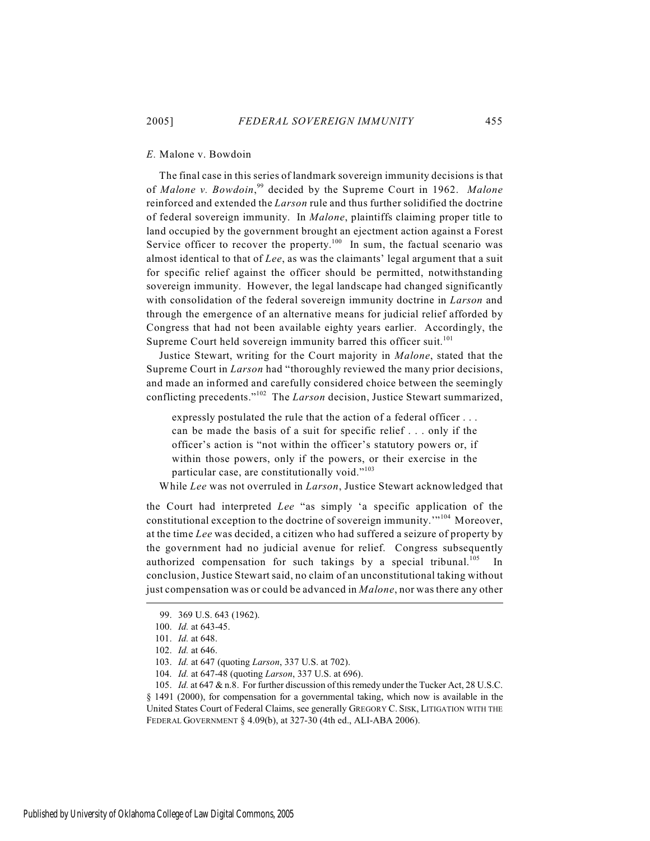### *E.* Malone v. Bowdoin

The final case in this series of landmark sovereign immunity decisions is that of *Malone v. Bowdoin*,<sup>99</sup> decided by the Supreme Court in 1962. *Malone* reinforced and extended the *Larson* rule and thus further solidified the doctrine of federal sovereign immunity. In *Malone*, plaintiffs claiming proper title to land occupied by the government brought an ejectment action against a Forest Service officer to recover the property.<sup>100</sup> In sum, the factual scenario was almost identical to that of *Lee*, as was the claimants' legal argument that a suit for specific relief against the officer should be permitted, notwithstanding sovereign immunity. However, the legal landscape had changed significantly with consolidation of the federal sovereign immunity doctrine in *Larson* and through the emergence of an alternative means for judicial relief afforded by Congress that had not been available eighty years earlier. Accordingly, the Supreme Court held sovereign immunity barred this officer suit.<sup>101</sup>

Justice Stewart, writing for the Court majority in *Malone*, stated that the Supreme Court in *Larson* had "thoroughly reviewed the many prior decisions, and made an informed and carefully considered choice between the seemingly conflicting precedents."<sup>102</sup> The *Larson* decision, Justice Stewart summarized,

expressly postulated the rule that the action of a federal officer . . . can be made the basis of a suit for specific relief . . . only if the officer's action is "not within the officer's statutory powers or, if within those powers, only if the powers, or their exercise in the particular case, are constitutionally void."<sup>103</sup>

While *Lee* was not overruled in *Larson*, Justice Stewart acknowledged that

the Court had interpreted *Lee* "as simply 'a specific application of the constitutional exception to the doctrine of sovereign immunity."<sup>104</sup> Moreover, at the time *Lee* was decided, a citizen who had suffered a seizure of property by the government had no judicial avenue for relief. Congress subsequently authorized compensation for such takings by a special tribunal.<sup>105</sup> In conclusion, Justice Stewart said, no claim of an unconstitutional taking without just compensation was or could be advanced in *Malone*, nor was there any other

<sup>99. 369</sup> U.S. 643 (1962).

<sup>100.</sup> *Id.* at 643-45.

<sup>101.</sup> *Id.* at 648.

<sup>102.</sup> *Id.* at 646.

<sup>103.</sup> *Id.* at 647 (quoting *Larson*, 337 U.S. at 702).

<sup>104.</sup> *Id.* at 647-48 (quoting *Larson*, 337 U.S. at 696).

<sup>105.</sup> *Id.* at 647 & n.8. For further discussion of this remedy under the Tucker Act, 28 U.S.C. § 1491 (2000), for compensation for a governmental taking, which now is available in the United States Court of Federal Claims, see generally GREGORY C. SISK, LITIGATION WITH THE FEDERAL GOVERNMENT § 4.09(b), at 327-30 (4th ed., ALI-ABA 2006).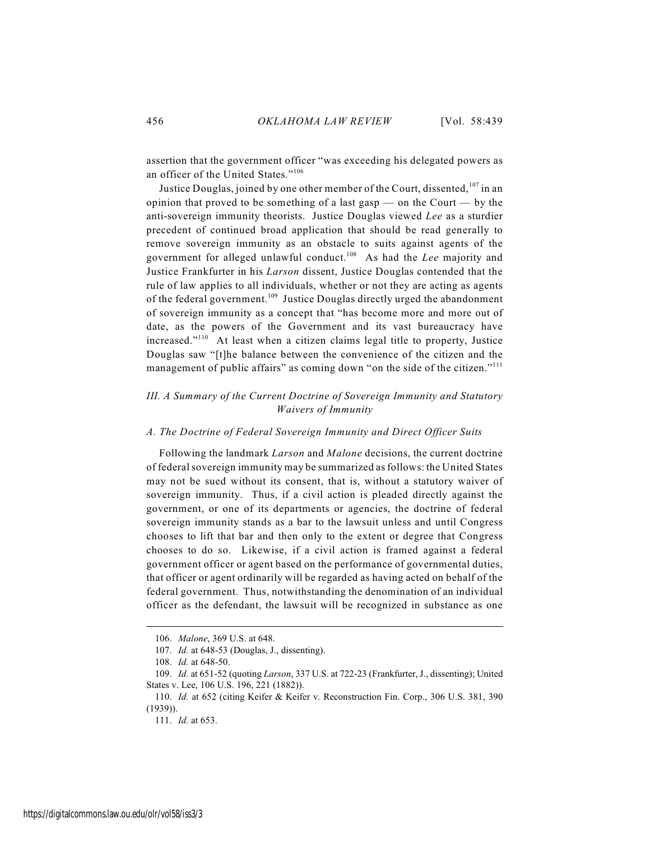assertion that the government officer "was exceeding his delegated powers as an officer of the United States."<sup>106</sup>

Justice Douglas, joined by one other member of the Court, dissented,  $107$  in an opinion that proved to be something of a last gasp — on the Court — by the anti-sovereign immunity theorists. Justice Douglas viewed *Lee* as a sturdier precedent of continued broad application that should be read generally to remove sovereign immunity as an obstacle to suits against agents of the government for alleged unlawful conduct.<sup>108</sup> As had the *Lee* majority and Justice Frankfurter in his *Larson* dissent, Justice Douglas contended that the rule of law applies to all individuals, whether or not they are acting as agents of the federal government.<sup>109</sup> Justice Douglas directly urged the abandonment of sovereign immunity as a concept that "has become more and more out of date, as the powers of the Government and its vast bureaucracy have increased."<sup>110</sup> At least when a citizen claims legal title to property, Justice Douglas saw "[t]he balance between the convenience of the citizen and the management of public affairs" as coming down "on the side of the citizen."<sup>111</sup>

## *III. A Summary of the Current Doctrine of Sovereign Immunity and Statutory Waivers of Immunity*

## *A. The Doctrine of Federal Sovereign Immunity and Direct Officer Suits*

Following the landmark *Larson* and *Malone* decisions, the current doctrine of federal sovereign immunity may be summarized as follows: the United States may not be sued without its consent, that is, without a statutory waiver of sovereign immunity. Thus, if a civil action is pleaded directly against the government, or one of its departments or agencies, the doctrine of federal sovereign immunity stands as a bar to the lawsuit unless and until Congress chooses to lift that bar and then only to the extent or degree that Congress chooses to do so. Likewise, if a civil action is framed against a federal government officer or agent based on the performance of governmental duties, that officer or agent ordinarily will be regarded as having acted on behalf of the federal government. Thus, notwithstanding the denomination of an individual officer as the defendant, the lawsuit will be recognized in substance as one

<sup>106.</sup> *Malone*, 369 U.S. at 648.

<sup>107.</sup> *Id.* at 648-53 (Douglas, J., dissenting).

<sup>108.</sup> *Id.* at 648-50.

<sup>109.</sup> *Id.* at 651-52 (quoting *Larson*, 337 U.S. at 722-23 (Frankfurter, J., dissenting); United States v. Lee, 106 U.S. 196, 221 (1882)).

<sup>110.</sup> *Id.* at 652 (citing Keifer & Keifer v. Reconstruction Fin. Corp., 306 U.S. 381, 390 (1939)).

<sup>111.</sup> *Id.* at 653.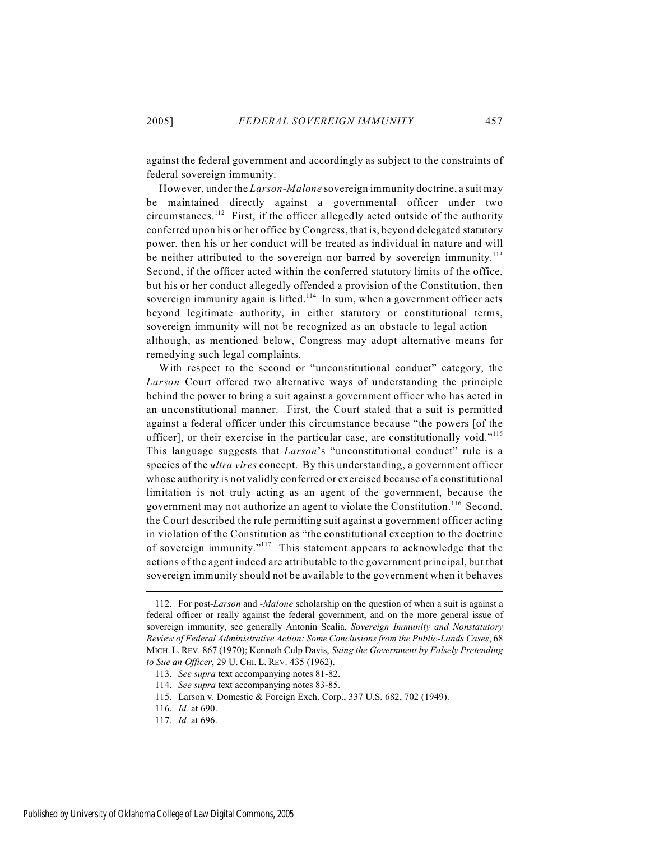against the federal government and accordingly as subject to the constraints of federal sovereign immunity.

However, under the *Larson-Malone* sovereign immunity doctrine, a suit may be maintained directly against a governmental officer under two circumstances.<sup>112</sup> First, if the officer allegedly acted outside of the authority conferred upon his or her office by Congress, that is, beyond delegated statutory power, then his or her conduct will be treated as individual in nature and will be neither attributed to the sovereign nor barred by sovereign immunity.<sup>113</sup> Second, if the officer acted within the conferred statutory limits of the office, but his or her conduct allegedly offended a provision of the Constitution, then sovereign immunity again is lifted.<sup> $114$ </sup> In sum, when a government officer acts beyond legitimate authority, in either statutory or constitutional terms, sovereign immunity will not be recognized as an obstacle to legal action although, as mentioned below, Congress may adopt alternative means for remedying such legal complaints.

With respect to the second or "unconstitutional conduct" category, the *Larson* Court offered two alternative ways of understanding the principle behind the power to bring a suit against a government officer who has acted in an unconstitutional manner. First, the Court stated that a suit is permitted against a federal officer under this circumstance because "the powers [of the officer], or their exercise in the particular case, are constitutionally void."<sup>115</sup> This language suggests that *Larson*'s "unconstitutional conduct" rule is a species of the *ultra vires* concept. By this understanding, a government officer whose authority is not validly conferred or exercised because of a constitutional limitation is not truly acting as an agent of the government, because the government may not authorize an agent to violate the Constitution.<sup>116</sup> Second, the Court described the rule permitting suit against a government officer acting in violation of the Constitution as "the constitutional exception to the doctrine of sovereign immunity. $117$  This statement appears to acknowledge that the actions of the agent indeed are attributable to the government principal, but that sovereign immunity should not be available to the government when it behaves

<sup>112.</sup> For post-*Larson* and -*Malone* scholarship on the question of when a suit is against a federal officer or really against the federal government, and on the more general issue of sovereign immunity, see generally Antonin Scalia, *Sovereign Immunity and Nonstatutory Review of Federal Administrative Action: Some Conclusions from the Public-Lands Cases*, 68 MICH. L.REV. 867 (1970); Kenneth Culp Davis, *Suing the Government by Falsely Pretending to Sue an Officer*, 29 U. CHI. L. REV. 435 (1962).

<sup>113.</sup> *See supra* text accompanying notes 81-82.

<sup>114.</sup> *See supra* text accompanying notes 83-85.

<sup>115.</sup> Larson v. Domestic & Foreign Exch. Corp., 337 U.S. 682, 702 (1949).

<sup>116.</sup> *Id.* at 690.

<sup>117.</sup> *Id.* at 696.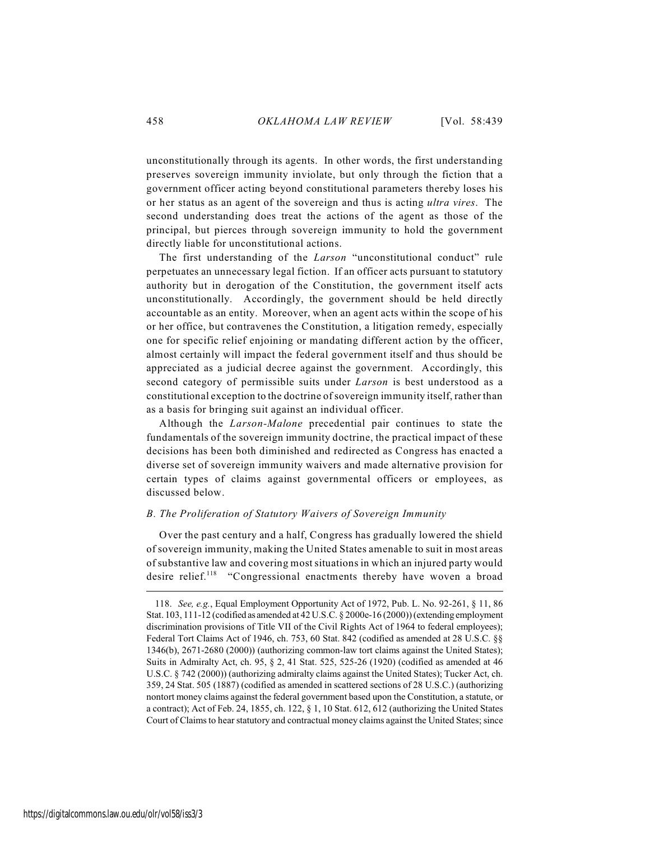unconstitutionally through its agents. In other words, the first understanding preserves sovereign immunity inviolate, but only through the fiction that a government officer acting beyond constitutional parameters thereby loses his or her status as an agent of the sovereign and thus is acting *ultra vires*. The second understanding does treat the actions of the agent as those of the principal, but pierces through sovereign immunity to hold the government directly liable for unconstitutional actions.

The first understanding of the *Larson* "unconstitutional conduct" rule perpetuates an unnecessary legal fiction. If an officer acts pursuant to statutory authority but in derogation of the Constitution, the government itself acts unconstitutionally. Accordingly, the government should be held directly accountable as an entity. Moreover, when an agent acts within the scope of his or her office, but contravenes the Constitution, a litigation remedy, especially one for specific relief enjoining or mandating different action by the officer, almost certainly will impact the federal government itself and thus should be appreciated as a judicial decree against the government. Accordingly, this second category of permissible suits under *Larson* is best understood as a constitutional exception to the doctrine of sovereign immunity itself, rather than as a basis for bringing suit against an individual officer.

Although the *Larson-Malone* precedential pair continues to state the fundamentals of the sovereign immunity doctrine, the practical impact of these decisions has been both diminished and redirected as Congress has enacted a diverse set of sovereign immunity waivers and made alternative provision for certain types of claims against governmental officers or employees, as discussed below.

## *B. The Proliferation of Statutory Waivers of Sovereign Immunity*

Over the past century and a half, Congress has gradually lowered the shield of sovereign immunity, making the United States amenable to suit in most areas of substantive law and covering most situations in which an injured party would desire relief. $118$  "Congressional enactments thereby have woven a broad

<sup>118.</sup> *See, e.g.*, Equal Employment Opportunity Act of 1972, Pub. L. No. 92-261, § 11, 86 Stat. 103, 111-12 (codified as amended at 42 U.S.C. § 2000e-16 (2000)) (extending employment discrimination provisions of Title VII of the Civil Rights Act of 1964 to federal employees); Federal Tort Claims Act of 1946, ch. 753, 60 Stat. 842 (codified as amended at 28 U.S.C. §§ 1346(b), 2671-2680 (2000)) (authorizing common-law tort claims against the United States); Suits in Admiralty Act, ch. 95, § 2, 41 Stat. 525, 525-26 (1920) (codified as amended at 46 U.S.C. § 742 (2000)) (authorizing admiralty claims against the United States); Tucker Act, ch. 359, 24 Stat. 505 (1887) (codified as amended in scattered sections of 28 U.S.C.) (authorizing nontort money claims against the federal government based upon the Constitution, a statute, or a contract); Act of Feb. 24, 1855, ch. 122, § 1, 10 Stat. 612, 612 (authorizing the United States Court of Claims to hear statutory and contractual money claims against the United States; since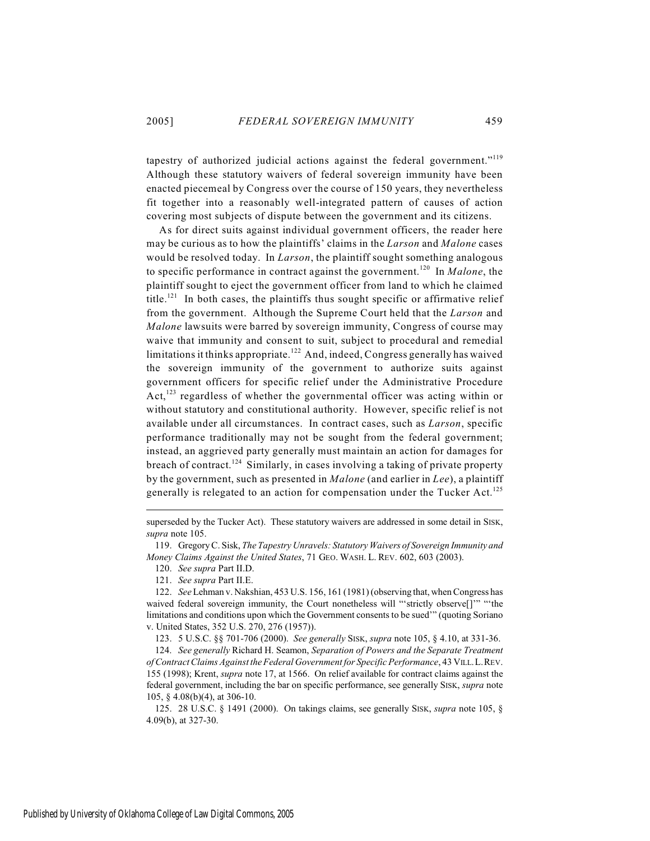tapestry of authorized judicial actions against the federal government."<sup>119</sup> Although these statutory waivers of federal sovereign immunity have been enacted piecemeal by Congress over the course of 150 years, they nevertheless fit together into a reasonably well-integrated pattern of causes of action covering most subjects of dispute between the government and its citizens.

As for direct suits against individual government officers, the reader here may be curious as to how the plaintiffs' claims in the *Larson* and *Malone* cases would be resolved today. In *Larson*, the plaintiff sought something analogous to specific performance in contract against the government.<sup>120</sup> In *Malone*, the plaintiff sought to eject the government officer from land to which he claimed title.<sup>121</sup> In both cases, the plaintiffs thus sought specific or affirmative relief from the government. Although the Supreme Court held that the *Larson* and *Malone* lawsuits were barred by sovereign immunity, Congress of course may waive that immunity and consent to suit, subject to procedural and remedial limitations it thinks appropriate.<sup>122</sup> And, indeed, Congress generally has waived the sovereign immunity of the government to authorize suits against government officers for specific relief under the Administrative Procedure Act,  $^{123}$  regardless of whether the governmental officer was acting within or without statutory and constitutional authority. However, specific relief is not available under all circumstances. In contract cases, such as *Larson*, specific performance traditionally may not be sought from the federal government; instead, an aggrieved party generally must maintain an action for damages for breach of contract.<sup>124</sup> Similarly, in cases involving a taking of private property by the government, such as presented in *Malone* (and earlier in *Lee*), a plaintiff generally is relegated to an action for compensation under the Tucker Act.<sup>125</sup>

119. Gregory C. Sisk, *The Tapestry Unravels: Statutory Waivers of Sovereign Immunity and Money Claims Against the United States*, 71 GEO. WASH. L. REV. 602, 603 (2003).

123. 5 U.S.C. §§ 701-706 (2000). *See generally* SISK, *supra* note 105, § 4.10, at 331-36.

124. *See generally* Richard H. Seamon, *Separation of Powers and the Separate Treatment of Contract Claims Against the Federal Government for Specific Performance*, 43 VILL.L.REV. 155 (1998); Krent, *supra* note 17, at 1566. On relief available for contract claims against the federal government, including the bar on specific performance, see generally SISK, *supra* note 105, § 4.08(b)(4), at 306-10.

125. 28 U.S.C. § 1491 (2000). On takings claims, see generally SISK, *supra* note 105, § 4.09(b), at 327-30.

superseded by the Tucker Act). These statutory waivers are addressed in some detail in SISK, *supra* note 105.

<sup>120.</sup> *See supra* Part II.D.

<sup>121.</sup> *See supra* Part II.E.

<sup>122.</sup> *See* Lehman v. Nakshian, 453 U.S. 156, 161 (1981) (observing that, when Congress has waived federal sovereign immunity, the Court nonetheless will "'strictly observe<sup>[]'"</sup> "the limitations and conditions upon which the Government consents to be sued'" (quoting Soriano v. United States, 352 U.S. 270, 276 (1957)).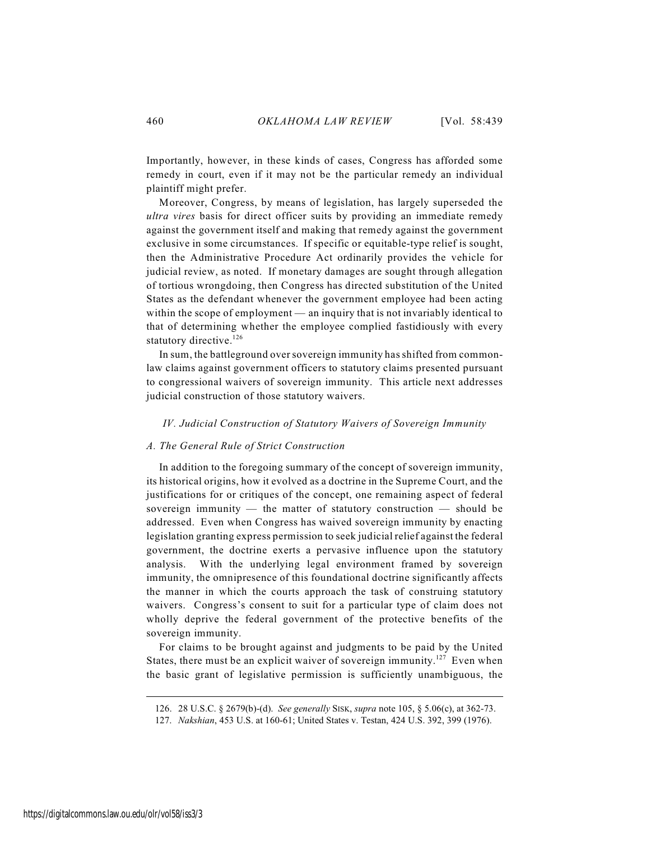Importantly, however, in these kinds of cases, Congress has afforded some remedy in court, even if it may not be the particular remedy an individual plaintiff might prefer.

Moreover, Congress, by means of legislation, has largely superseded the *ultra vires* basis for direct officer suits by providing an immediate remedy against the government itself and making that remedy against the government exclusive in some circumstances. If specific or equitable-type relief is sought, then the Administrative Procedure Act ordinarily provides the vehicle for judicial review, as noted. If monetary damages are sought through allegation of tortious wrongdoing, then Congress has directed substitution of the United States as the defendant whenever the government employee had been acting within the scope of employment — an inquiry that is not invariably identical to that of determining whether the employee complied fastidiously with every statutory directive.<sup>126</sup>

In sum, the battleground over sovereign immunity has shifted from commonlaw claims against government officers to statutory claims presented pursuant to congressional waivers of sovereign immunity. This article next addresses judicial construction of those statutory waivers.

#### *IV. Judicial Construction of Statutory Waivers of Sovereign Immunity*

#### *A. The General Rule of Strict Construction*

In addition to the foregoing summary of the concept of sovereign immunity, its historical origins, how it evolved as a doctrine in the Supreme Court, and the justifications for or critiques of the concept, one remaining aspect of federal sovereign immunity — the matter of statutory construction — should be addressed. Even when Congress has waived sovereign immunity by enacting legislation granting express permission to seek judicial relief against the federal government, the doctrine exerts a pervasive influence upon the statutory analysis. With the underlying legal environment framed by sovereign immunity, the omnipresence of this foundational doctrine significantly affects the manner in which the courts approach the task of construing statutory waivers. Congress's consent to suit for a particular type of claim does not wholly deprive the federal government of the protective benefits of the sovereign immunity.

For claims to be brought against and judgments to be paid by the United States, there must be an explicit waiver of sovereign immunity.<sup>127</sup> Even when the basic grant of legislative permission is sufficiently unambiguous, the

<sup>126. 28</sup> U.S.C. § 2679(b)-(d). *See generally* SISK, *supra* note 105, § 5.06(c), at 362-73.

<sup>127.</sup> *Nakshian*, 453 U.S. at 160-61; United States v. Testan, 424 U.S. 392, 399 (1976).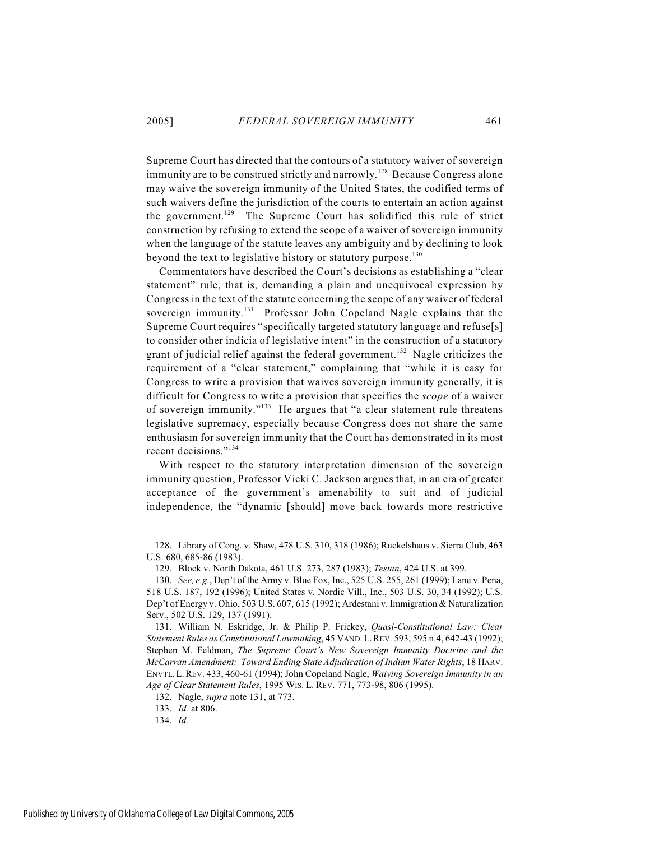Supreme Court has directed that the contours of a statutory waiver of sovereign immunity are to be construed strictly and narrowly.<sup>128</sup> Because Congress alone may waive the sovereign immunity of the United States, the codified terms of such waivers define the jurisdiction of the courts to entertain an action against the government.<sup>129</sup> The Supreme Court has solidified this rule of strict construction by refusing to extend the scope of a waiver of sovereign immunity when the language of the statute leaves any ambiguity and by declining to look beyond the text to legislative history or statutory purpose.<sup>130</sup>

Commentators have described the Court's decisions as establishing a "clear statement" rule, that is, demanding a plain and unequivocal expression by Congress in the text of the statute concerning the scope of any waiver of federal sovereign immunity.<sup>131</sup> Professor John Copeland Nagle explains that the Supreme Court requires "specifically targeted statutory language and refuse[s] to consider other indicia of legislative intent" in the construction of a statutory grant of judicial relief against the federal government.<sup>132</sup> Nagle criticizes the requirement of a "clear statement," complaining that "while it is easy for Congress to write a provision that waives sovereign immunity generally, it is difficult for Congress to write a provision that specifies the *scope* of a waiver of sovereign immunity."<sup>133</sup> He argues that "a clear statement rule threatens legislative supremacy, especially because Congress does not share the same enthusiasm for sovereign immunity that the Court has demonstrated in its most recent decisions."<sup>134</sup>

With respect to the statutory interpretation dimension of the sovereign immunity question, Professor Vicki C. Jackson argues that, in an era of greater acceptance of the government's amenability to suit and of judicial independence, the "dynamic [should] move back towards more restrictive

<sup>128.</sup> Library of Cong. v. Shaw, 478 U.S. 310, 318 (1986); Ruckelshaus v. Sierra Club, 463 U.S. 680, 685-86 (1983).

<sup>129.</sup> Block v. North Dakota, 461 U.S. 273, 287 (1983); *Testan*, 424 U.S. at 399.

<sup>130.</sup> *See, e.g.*, Dep't of the Army v. Blue Fox, Inc., 525 U.S. 255, 261 (1999); Lane v. Pena, 518 U.S. 187, 192 (1996); United States v. Nordic Vill., Inc., 503 U.S. 30, 34 (1992); U.S. Dep't of Energy v. Ohio, 503 U.S. 607, 615 (1992); Ardestani v. Immigration & Naturalization Serv., 502 U.S. 129, 137 (1991).

<sup>131.</sup> William N. Eskridge, Jr. & Philip P. Frickey, *Quasi-Constitutional Law: Clear Statement Rules as Constitutional Lawmaking*, 45 VAND.L.REV. 593, 595 n.4, 642-43 (1992); Stephen M. Feldman, *The Supreme Court's New Sovereign Immunity Doctrine and the McCarran Amendment: Toward Ending State Adjudication of Indian Water Rights*, 18 HARV. ENVTL.L.REV. 433, 460-61 (1994); John Copeland Nagle, *Waiving Sovereign Immunity in an Age of Clear Statement Rules*, 1995 WIS. L. REV. 771, 773-98, 806 (1995).

<sup>132.</sup> Nagle, *supra* note 131, at 773.

<sup>133.</sup> *Id.* at 806.

<sup>134.</sup> *Id.*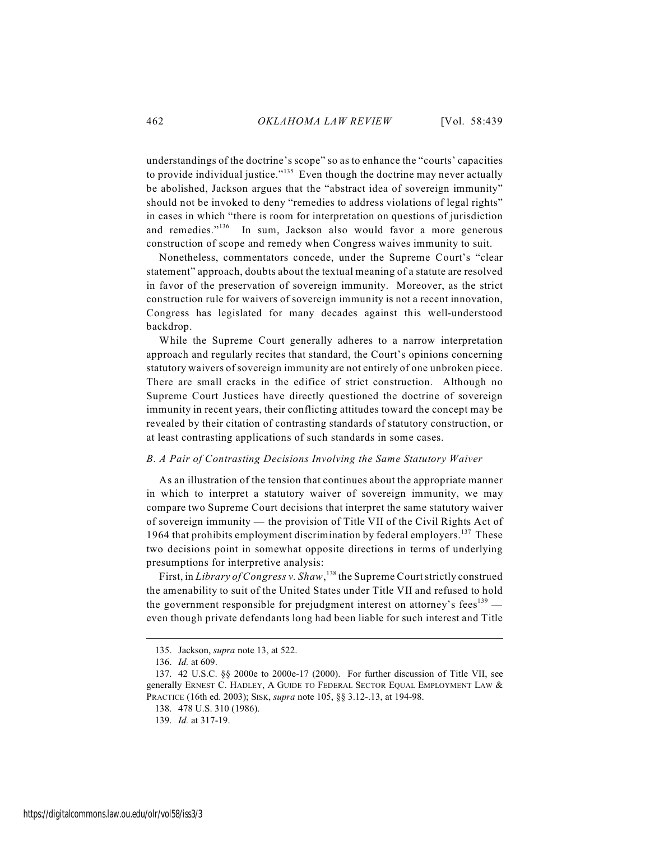understandings of the doctrine's scope" so as to enhance the "courts' capacities to provide individual justice." $135$  Even though the doctrine may never actually be abolished, Jackson argues that the "abstract idea of sovereign immunity" should not be invoked to deny "remedies to address violations of legal rights" in cases in which "there is room for interpretation on questions of jurisdiction and remedies."<sup>136</sup> In sum, Jackson also would favor a more generous construction of scope and remedy when Congress waives immunity to suit.

Nonetheless, commentators concede, under the Supreme Court's "clear statement" approach, doubts about the textual meaning of a statute are resolved in favor of the preservation of sovereign immunity. Moreover, as the strict construction rule for waivers of sovereign immunity is not a recent innovation, Congress has legislated for many decades against this well-understood backdrop.

While the Supreme Court generally adheres to a narrow interpretation approach and regularly recites that standard, the Court's opinions concerning statutory waivers of sovereign immunity are not entirely of one unbroken piece. There are small cracks in the edifice of strict construction. Although no Supreme Court Justices have directly questioned the doctrine of sovereign immunity in recent years, their conflicting attitudes toward the concept may be revealed by their citation of contrasting standards of statutory construction, or at least contrasting applications of such standards in some cases.

#### *B. A Pair of Contrasting Decisions Involving the Same Statutory Waiver*

As an illustration of the tension that continues about the appropriate manner in which to interpret a statutory waiver of sovereign immunity, we may compare two Supreme Court decisions that interpret the same statutory waiver of sovereign immunity — the provision of Title VII of the Civil Rights Act of 1964 that prohibits employment discrimination by federal employers.<sup>137</sup> These two decisions point in somewhat opposite directions in terms of underlying presumptions for interpretive analysis:

First, in *Library of Congress v. Shaw*,<sup>138</sup> the Supreme Court strictly construed the amenability to suit of the United States under Title VII and refused to hold the government responsible for prejudgment interest on attorney's fees  $139$  even though private defendants long had been liable for such interest and Title

<sup>135.</sup> Jackson, *supra* note 13, at 522.

<sup>136.</sup> *Id.* at 609.

<sup>137. 42</sup> U.S.C. §§ 2000e to 2000e-17 (2000). For further discussion of Title VII, see generally ERNEST C. HADLEY, A GUIDE TO FEDERAL SECTOR EQUAL EMPLOYMENT LAW & PRACTICE (16th ed. 2003); SISK, *supra* note 105, §§ 3.12-.13, at 194-98.

<sup>138. 478</sup> U.S. 310 (1986).

<sup>139.</sup> *Id.* at 317-19.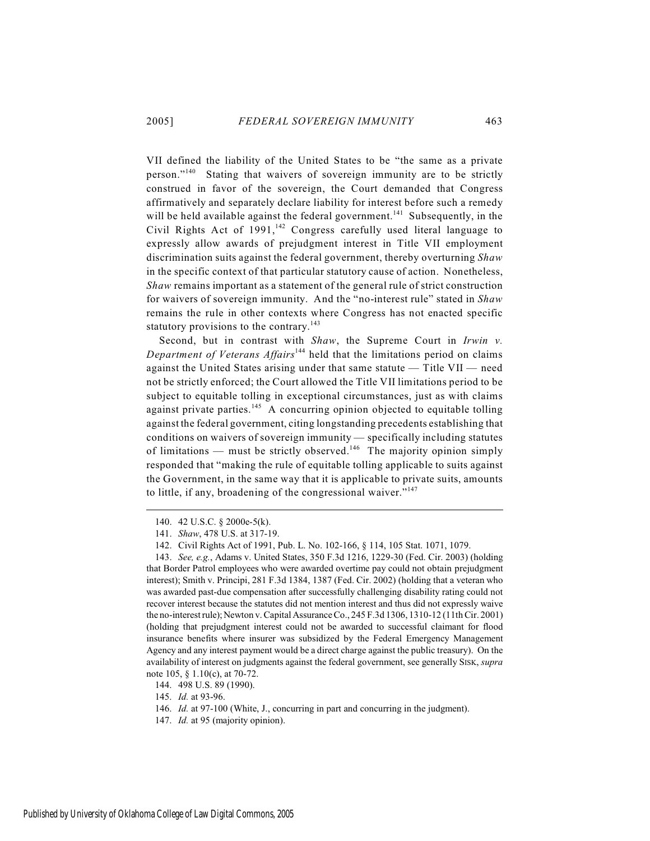VII defined the liability of the United States to be "the same as a private person."<sup>140</sup> Stating that waivers of sovereign immunity are to be strictly construed in favor of the sovereign, the Court demanded that Congress affirmatively and separately declare liability for interest before such a remedy will be held available against the federal government.<sup> $141$ </sup> Subsequently, in the Civil Rights Act of 1991,<sup>142</sup> Congress carefully used literal language to expressly allow awards of prejudgment interest in Title VII employment discrimination suits against the federal government, thereby overturning *Shaw* in the specific context of that particular statutory cause of action. Nonetheless, *Shaw* remains important as a statement of the general rule of strict construction for waivers of sovereign immunity. And the "no-interest rule" stated in *Shaw* remains the rule in other contexts where Congress has not enacted specific statutory provisions to the contrary.<sup>143</sup>

Second, but in contrast with *Shaw*, the Supreme Court in *Irwin v. Department of Veterans Affairs*<sup>144</sup> held that the limitations period on claims against the United States arising under that same statute — Title VII — need not be strictly enforced; the Court allowed the Title VII limitations period to be subject to equitable tolling in exceptional circumstances, just as with claims against private parties.<sup>145</sup> A concurring opinion objected to equitable tolling against the federal government, citing longstanding precedents establishing that conditions on waivers of sovereign immunity — specifically including statutes of limitations — must be strictly observed.<sup>146</sup> The majority opinion simply responded that "making the rule of equitable tolling applicable to suits against the Government, in the same way that it is applicable to private suits, amounts to little, if any, broadening of the congressional waiver."<sup>147</sup>

<sup>140. 42</sup> U.S.C. § 2000e-5(k).

<sup>141.</sup> *Shaw*, 478 U.S. at 317-19.

<sup>142.</sup> Civil Rights Act of 1991, Pub. L. No. 102-166, § 114, 105 Stat. 1071, 1079.

<sup>143.</sup> *See, e.g.*, Adams v. United States, 350 F.3d 1216, 1229-30 (Fed. Cir. 2003) (holding that Border Patrol employees who were awarded overtime pay could not obtain prejudgment interest); Smith v. Principi, 281 F.3d 1384, 1387 (Fed. Cir. 2002) (holding that a veteran who was awarded past-due compensation after successfully challenging disability rating could not recover interest because the statutes did not mention interest and thus did not expressly waive the no-interest rule); Newton v. Capital Assurance Co., 245 F.3d 1306, 1310-12 (11th Cir. 2001) (holding that prejudgment interest could not be awarded to successful claimant for flood insurance benefits where insurer was subsidized by the Federal Emergency Management Agency and any interest payment would be a direct charge against the public treasury). On the availability of interest on judgments against the federal government, see generally SISK, *supra* note 105, § 1.10(c), at 70-72.

<sup>144. 498</sup> U.S. 89 (1990).

<sup>145.</sup> *Id.* at 93-96.

<sup>146.</sup> *Id.* at 97-100 (White, J., concurring in part and concurring in the judgment).

<sup>147.</sup> *Id.* at 95 (majority opinion).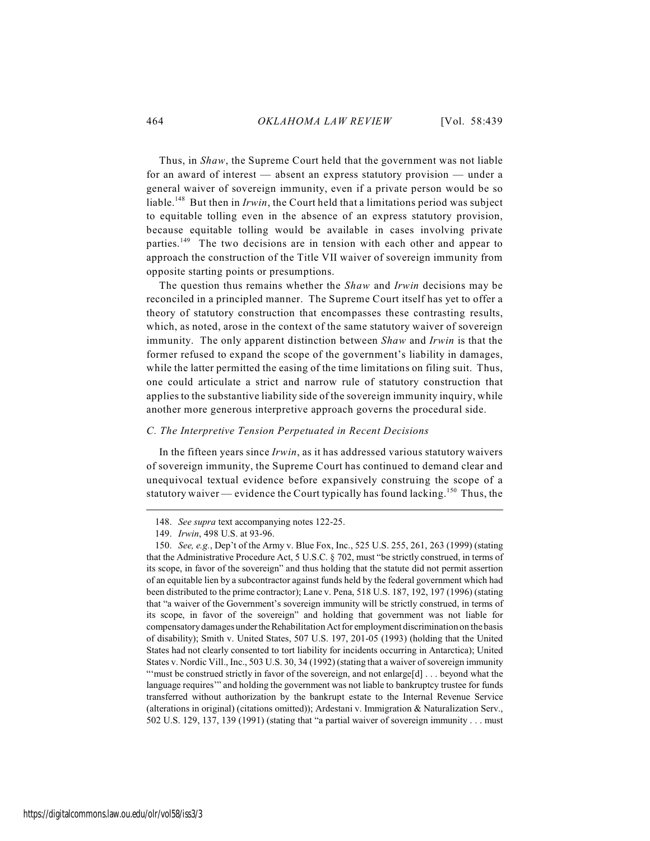Thus, in *Shaw*, the Supreme Court held that the government was not liable for an award of interest — absent an express statutory provision — under a general waiver of sovereign immunity, even if a private person would be so liable.<sup>148</sup> But then in *Irwin*, the Court held that a limitations period was subject to equitable tolling even in the absence of an express statutory provision, because equitable tolling would be available in cases involving private parties.<sup>149</sup> The two decisions are in tension with each other and appear to approach the construction of the Title VII waiver of sovereign immunity from opposite starting points or presumptions.

The question thus remains whether the *Shaw* and *Irwin* decisions may be reconciled in a principled manner. The Supreme Court itself has yet to offer a theory of statutory construction that encompasses these contrasting results, which, as noted, arose in the context of the same statutory waiver of sovereign immunity. The only apparent distinction between *Shaw* and *Irwin* is that the former refused to expand the scope of the government's liability in damages, while the latter permitted the easing of the time limitations on filing suit. Thus, one could articulate a strict and narrow rule of statutory construction that applies to the substantive liability side of the sovereign immunity inquiry, while another more generous interpretive approach governs the procedural side.

## *C. The Interpretive Tension Perpetuated in Recent Decisions*

In the fifteen years since *Irwin*, as it has addressed various statutory waivers of sovereign immunity, the Supreme Court has continued to demand clear and unequivocal textual evidence before expansively construing the scope of a statutory waiver — evidence the Court typically has found lacking.<sup>150</sup> Thus, the

<sup>148.</sup> *See supra* text accompanying notes 122-25.

<sup>149.</sup> *Irwin*, 498 U.S. at 93-96.

<sup>150.</sup> *See, e.g.*, Dep't of the Army v. Blue Fox, Inc., 525 U.S. 255, 261, 263 (1999) (stating that the Administrative Procedure Act, 5 U.S.C. § 702, must "be strictly construed, in terms of its scope, in favor of the sovereign" and thus holding that the statute did not permit assertion of an equitable lien by a subcontractor against funds held by the federal government which had been distributed to the prime contractor); Lane v. Pena, 518 U.S. 187, 192, 197 (1996) (stating that "a waiver of the Government's sovereign immunity will be strictly construed, in terms of its scope, in favor of the sovereign" and holding that government was not liable for compensatory damages under the Rehabilitation Act for employment discrimination on the basis of disability); Smith v. United States, 507 U.S. 197, 201-05 (1993) (holding that the United States had not clearly consented to tort liability for incidents occurring in Antarctica); United States v. Nordic Vill., Inc., 503 U.S. 30, 34 (1992) (stating that a waiver of sovereign immunity "'must be construed strictly in favor of the sovereign, and not enlarge[d] . . . beyond what the language requires'" and holding the government was not liable to bankruptcy trustee for funds transferred without authorization by the bankrupt estate to the Internal Revenue Service (alterations in original) (citations omitted)); Ardestani v. Immigration & Naturalization Serv., 502 U.S. 129, 137, 139 (1991) (stating that "a partial waiver of sovereign immunity . . . must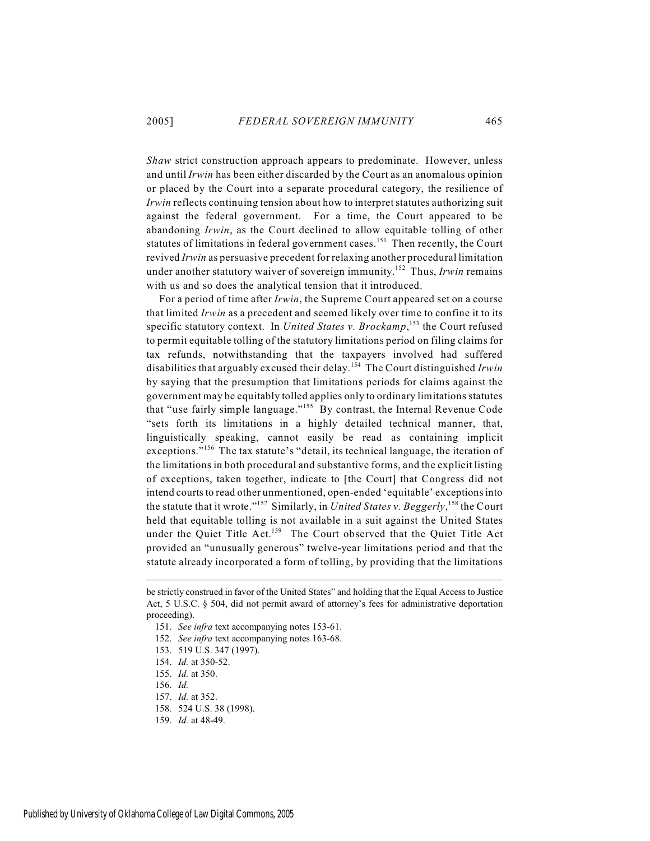*Shaw* strict construction approach appears to predominate. However, unless and until *Irwin* has been either discarded by the Court as an anomalous opinion or placed by the Court into a separate procedural category, the resilience of *Irwin* reflects continuing tension about how to interpret statutes authorizing suit against the federal government. For a time, the Court appeared to be abandoning *Irwin*, as the Court declined to allow equitable tolling of other statutes of limitations in federal government cases.<sup>151</sup> Then recently, the Court revived *Irwin* as persuasive precedent for relaxing another procedural limitation under another statutory waiver of sovereign immunity.<sup>152</sup> Thus, *Irwin* remains with us and so does the analytical tension that it introduced.

For a period of time after *Irwin*, the Supreme Court appeared set on a course that limited *Irwin* as a precedent and seemed likely over time to confine it to its specific statutory context. In *United States v. Brockamp*,<sup>153</sup> the Court refused to permit equitable tolling of the statutory limitations period on filing claims for tax refunds, notwithstanding that the taxpayers involved had suffered disabilities that arguably excused their delay. The Court distinguished *Irwin* <sup>154</sup> by saying that the presumption that limitations periods for claims against the government may be equitably tolled applies only to ordinary limitations statutes that "use fairly simple language."<sup>155</sup> By contrast, the Internal Revenue Code "sets forth its limitations in a highly detailed technical manner, that, linguistically speaking, cannot easily be read as containing implicit exceptions."<sup>156</sup> The tax statute's "detail, its technical language, the iteration of the limitations in both procedural and substantive forms, and the explicit listing of exceptions, taken together, indicate to [the Court] that Congress did not intend courts to read other unmentioned, open-ended 'equitable' exceptions into the statute that it wrote."<sup>157</sup> Similarly, in *United States v. Beggerly*, <sup>158</sup> the Court held that equitable tolling is not available in a suit against the United States under the Quiet Title Act.<sup>159</sup> The Court observed that the Quiet Title Act provided an "unusually generous" twelve-year limitations period and that the statute already incorporated a form of tolling, by providing that the limitations

be strictly construed in favor of the United States" and holding that the Equal Access to Justice Act, 5 U.S.C. § 504, did not permit award of attorney's fees for administrative deportation proceeding).

<sup>151.</sup> *See infra* text accompanying notes 153-61.

<sup>152.</sup> *See infra* text accompanying notes 163-68.

<sup>153. 519</sup> U.S. 347 (1997).

<sup>154.</sup> *Id.* at 350-52.

<sup>155.</sup> *Id.* at 350.

<sup>156.</sup> *Id.*

<sup>157.</sup> *Id.* at 352.

<sup>158. 524</sup> U.S. 38 (1998).

<sup>159.</sup> *Id.* at 48-49.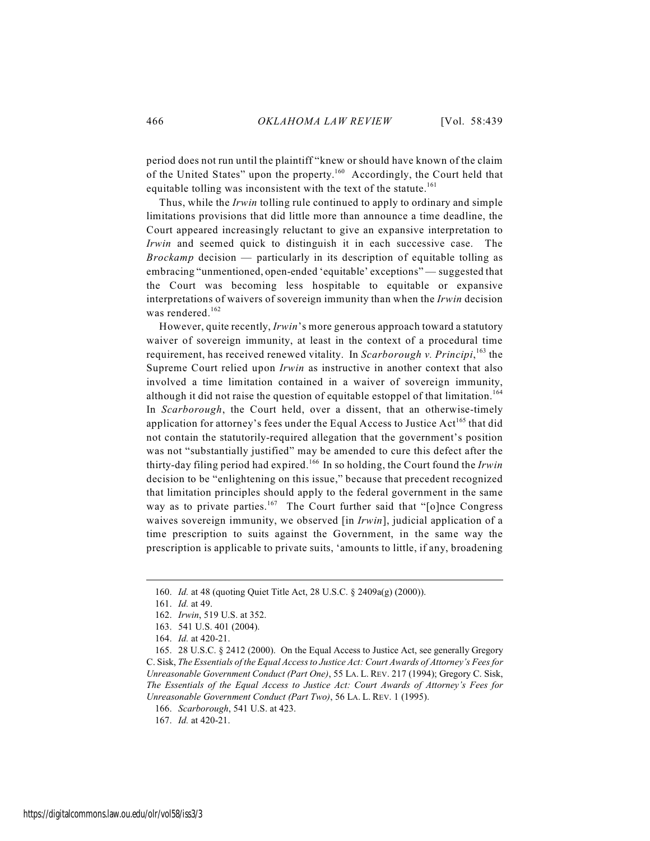period does not run until the plaintiff "knew or should have known of the claim of the United States" upon the property.<sup>160</sup> Accordingly, the Court held that equitable tolling was inconsistent with the text of the statute.<sup>161</sup>

Thus, while the *Irwin* tolling rule continued to apply to ordinary and simple limitations provisions that did little more than announce a time deadline, the Court appeared increasingly reluctant to give an expansive interpretation to *Irwin* and seemed quick to distinguish it in each successive case. The *Brockamp* decision — particularly in its description of equitable tolling as embracing "unmentioned, open-ended 'equitable' exceptions" — suggested that the Court was becoming less hospitable to equitable or expansive interpretations of waivers of sovereign immunity than when the *Irwin* decision was rendered.<sup>162</sup>

However, quite recently, *Irwin*'s more generous approach toward a statutory waiver of sovereign immunity, at least in the context of a procedural time requirement, has received renewed vitality. In *Scarborough v. Principi*,<sup>163</sup> the Supreme Court relied upon *Irwin* as instructive in another context that also involved a time limitation contained in a waiver of sovereign immunity, although it did not raise the question of equitable estoppel of that limitation.<sup>164</sup> In *Scarborough*, the Court held, over a dissent, that an otherwise-timely application for attorney's fees under the Equal Access to Justice  $Act^{165}$  that did not contain the statutorily-required allegation that the government's position was not "substantially justified" may be amended to cure this defect after the thirty-day filing period had expired.<sup>166</sup> In so holding, the Court found the *Irwin* decision to be "enlightening on this issue," because that precedent recognized that limitation principles should apply to the federal government in the same way as to private parties.<sup>167</sup> The Court further said that "[o]nce Congress waives sovereign immunity, we observed [in *Irwin*], judicial application of a time prescription to suits against the Government, in the same way the prescription is applicable to private suits, 'amounts to little, if any, broadening

<sup>160.</sup> *Id.* at 48 (quoting Quiet Title Act, 28 U.S.C. § 2409a(g) (2000)).

<sup>161.</sup> *Id.* at 49.

<sup>162.</sup> *Irwin*, 519 U.S. at 352.

<sup>163. 541</sup> U.S. 401 (2004).

<sup>164.</sup> *Id.* at 420-21.

<sup>165. 28</sup> U.S.C. § 2412 (2000). On the Equal Access to Justice Act, see generally Gregory C. Sisk, *The Essentials of the Equal Access to Justice Act: Court Awards of Attorney's Fees for Unreasonable Government Conduct (Part One)*, 55 LA. L. REV. 217 (1994); Gregory C. Sisk, *The Essentials of the Equal Access to Justice Act: Court Awards of Attorney's Fees for Unreasonable Government Conduct (Part Two)*, 56 LA. L. REV. 1 (1995).

<sup>166.</sup> *Scarborough*, 541 U.S. at 423.

<sup>167.</sup> *Id.* at 420-21.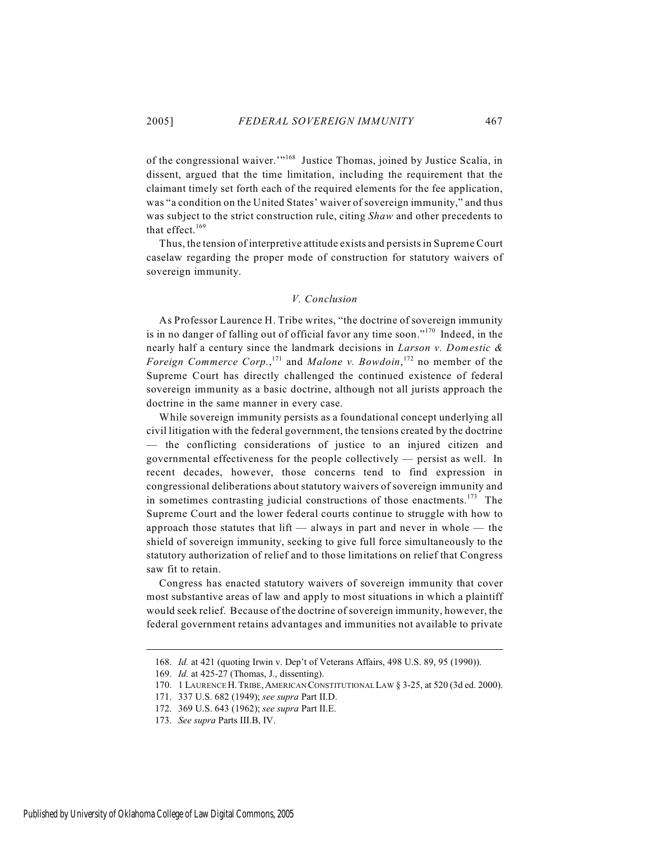of the congressional waiver."<sup>168</sup> Justice Thomas, joined by Justice Scalia, in dissent, argued that the time limitation, including the requirement that the claimant timely set forth each of the required elements for the fee application, was "a condition on the United States' waiver of sovereign immunity," and thus was subject to the strict construction rule, citing *Shaw* and other precedents to that effect. $169$ 

Thus, the tension of interpretive attitude exists and persists in Supreme Court caselaw regarding the proper mode of construction for statutory waivers of sovereign immunity.

## *V. Conclusion*

As Professor Laurence H. Tribe writes, "the doctrine of sovereign immunity is in no danger of falling out of official favor any time soon."<sup> $170$ </sup> Indeed, in the nearly half a century since the landmark decisions in *Larson v. Domestic & Foreign Commerce Corp.*,<sup>171</sup> and *Malone v. Bowdoin*<sup>172</sup> no member of the Supreme Court has directly challenged the continued existence of federal sovereign immunity as a basic doctrine, although not all jurists approach the doctrine in the same manner in every case.

While sovereign immunity persists as a foundational concept underlying all civil litigation with the federal government, the tensions created by the doctrine — the conflicting considerations of justice to an injured citizen and governmental effectiveness for the people collectively — persist as well. In recent decades, however, those concerns tend to find expression in congressional deliberations about statutory waivers of sovereign immunity and in sometimes contrasting judicial constructions of those enactments.<sup>173</sup> The Supreme Court and the lower federal courts continue to struggle with how to approach those statutes that  $lift$  — always in part and never in whole — the shield of sovereign immunity, seeking to give full force simultaneously to the statutory authorization of relief and to those limitations on relief that Congress saw fit to retain.

Congress has enacted statutory waivers of sovereign immunity that cover most substantive areas of law and apply to most situations in which a plaintiff would seek relief. Because of the doctrine of sovereign immunity, however, the federal government retains advantages and immunities not available to private

<sup>168.</sup> *Id.* at 421 (quoting Irwin v. Dep't of Veterans Affairs, 498 U.S. 89, 95 (1990)).

<sup>169.</sup> *Id.* at 425-27 (Thomas, J., dissenting).

<sup>170. 1</sup> LAURENCE H. TRIBE, AMERICAN CONSTITUTIONAL LAW § 3-25, at 520 (3d ed. 2000).

<sup>171. 337</sup> U.S. 682 (1949); *see supra* Part II.D.

<sup>172. 369</sup> U.S. 643 (1962); *see supra* Part II.E.

<sup>173.</sup> *See supra* Parts III.B, IV.